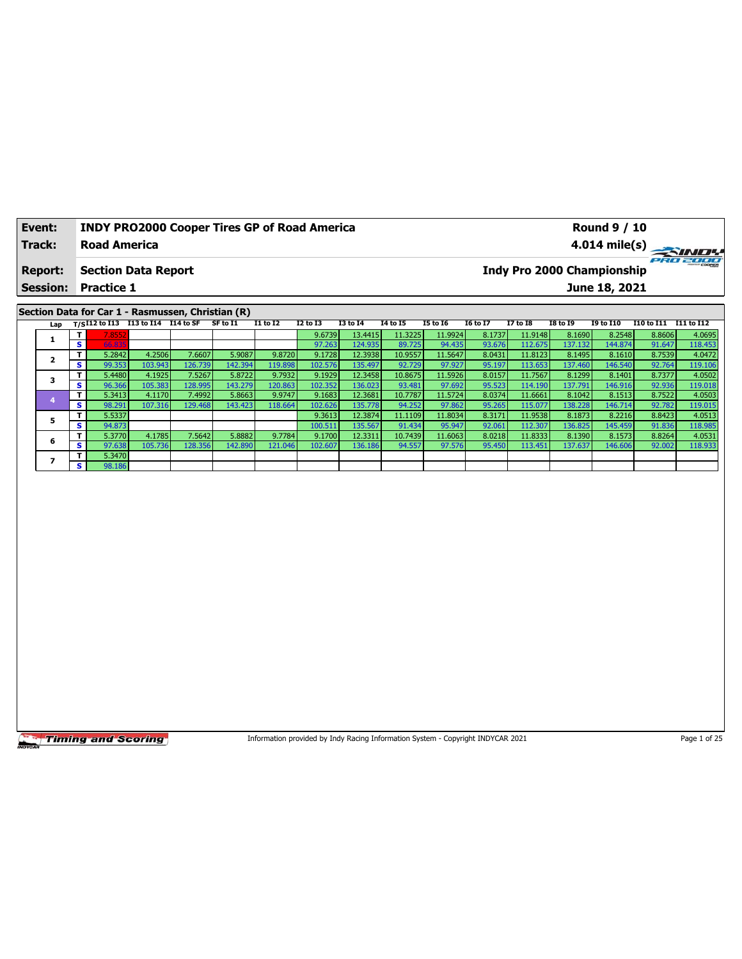| Event:          | <b>INDY PRO2000 Cooper Tires GP of Road America</b> |  |          |          |                 |                 |          |          |          |                            |          | <b>Round 9 / 10</b>                                                                       |                             |              |
|-----------------|-----------------------------------------------------|--|----------|----------|-----------------|-----------------|----------|----------|----------|----------------------------|----------|-------------------------------------------------------------------------------------------|-----------------------------|--------------|
| Track:          | <b>Road America</b>                                 |  |          |          |                 |                 |          |          |          |                            |          | 4.014 mile(s) $\overline{\phantom{a}}$                                                    |                             | <b>SINDY</b> |
| <b>Report:</b>  | <b>Section Data Report</b>                          |  |          |          |                 |                 |          |          |          | Indy Pro 2000 Championship |          |                                                                                           |                             | PRO 2000     |
| <b>Session:</b> | <b>Practice 1</b>                                   |  |          |          |                 |                 |          |          |          |                            |          | June 18, 2021                                                                             |                             |              |
|                 |                                                     |  |          |          |                 |                 |          |          |          |                            |          |                                                                                           |                             |              |
|                 | Section Data for Car 1 - Rasmussen, Christian (R)   |  |          |          |                 |                 |          |          |          |                            |          |                                                                                           |                             |              |
|                 | Lap T/SI12 to I13 I13 to I14 I14 to SF              |  | SF to I1 | I1 to I2 | <b>I2 to I3</b> | <b>I3 to I4</b> | 14 to 15 | I5 to 16 | 16 to 17 | <b>I7 to I8</b>            | I8 to 19 | I9 to I10                                                                                 | I10 to I11 I11 to I12       |              |
|                 | T.<br>7.8552                                        |  |          |          | 9.6739          | 13.4415         | 11.3225  | 11.9924  | 8.1737   | 11.9148                    | 8.1690   | 8.2548                                                                                    | 8.8606                      | 4.0695       |
|                 | <b>CC ODE</b>                                       |  |          |          | 27.22           | 122022          | 007225   | 0.4.425  | 02.021   |                            | 127.122  | $\overline{A}$ $\overline{A}$ $\overline{A}$ $\overline{A}$ $\overline{A}$ $\overline{A}$ | $\sim$ $\sim$ $\sim$ $\sim$ | 1101         |

|   |     | . 8552 |         |          |         |         | 9.07391 | 13.44151  | 11.32251 | 11.99241 | 0.1/3/ | 11.91481 | <b>9.10901</b> | 8.25481 | 8.80001 | 4.0095  |
|---|-----|--------|---------|----------|---------|---------|---------|-----------|----------|----------|--------|----------|----------------|---------|---------|---------|
|   | s   | 66.835 |         |          |         |         | 97.263  | 124.935   | 89.725   | 94.435   | 93.676 | 112.675  | 137.132        | 144.874 | 91.647  | 118.453 |
|   | т.  | 5.2842 | 4.2506  | 7.6607   | 5.9087  | 9.8720  | 9.1728  | 12.3938   | 10.9557  | 11.5647  | 8.0431 | 11.8123  | 8.1495         | 8.1610  | 8.7539  | 4.0472  |
|   | S I | 99.353 | 103.943 | 126.739  | 142.394 | 119.898 | 102.576 | 135.497   | 92.729   | 97.927   | 95.197 | 113.653  | 137.460        | 146.540 | 92.764  | 119.106 |
|   | Τ.  | 5.4480 | 4.1925  | 7.5267   | 5.8722  | 9.7932  | 9.1929  | 12.3458   | 10.8675  | 11.5926  | 8.0157 | 11.7567  | 8.1299         | 8.1401  | 8.7377  | 4.0502  |
|   | s.  | 96.366 | 105.383 | 128.9951 | 143.279 | 120.863 | 102.352 | 136.023   | 93.481   | 97.692   | 95.523 | 114.190  | 137.791        | 146.916 | 92.936  | 119.018 |
|   |     | 5.3413 | 4.1170  | 7.4992   | 5.8663  | 9.9747  | 9.1683  | 12.3681   | 10.7787  | 11.5724  | 8.0374 | 11.6661  | 8.1042         | 8.1513  | 8.7522  | 4.0503  |
|   | s i | 98.291 | 107.316 | 129.468  | 143.423 | 118.664 | 102.626 | 135.778   | 94.252   | 97.862   | 95.265 | 115.077  | 138.228        | 146.714 | 92.782  | 119.015 |
|   |     | 5.5337 |         |          |         |         | 9.3613  | 12.3874   | 11.1109  | 11.8034  | 8.3171 | 11.9538  | 8.1873         | 8.2216  | 8.8423  | 4.0513  |
|   | s.  | 94.873 |         |          |         |         | 100.511 | 135.567   | 91.434   | 95.947   | 92.061 | 112.307  | 136.825        | 145.459 | 91.836  | 118.985 |
| 6 | т.  | 5.3770 | 4.1785  | 7.5642   | 5.8882  | 9.7784  | 9.1700  | 12.3311 l | 10.7439  | 11.6063  | 8.0218 | 11.8333  | 8.1390         | 8.1573  | 8.8264  | 4.0531  |
|   | s i | 97.638 | 105.736 | 128.3561 | 142.890 | 121.046 | 102.607 | 136.186   | 94.557   | 97.576   | 95.450 | 113.451  | 137.637        | 146.606 | 92.002  | 118.933 |
|   | т.  | 5.3470 |         |          |         |         |         |           |          |          |        |          |                |         |         |         |
|   | s i | 98.186 |         |          |         |         |         |           |          |          |        |          |                |         |         |         |

Information provided by Indy Racing Information System - Copyright INDYCAR 2021 Page 1 of 25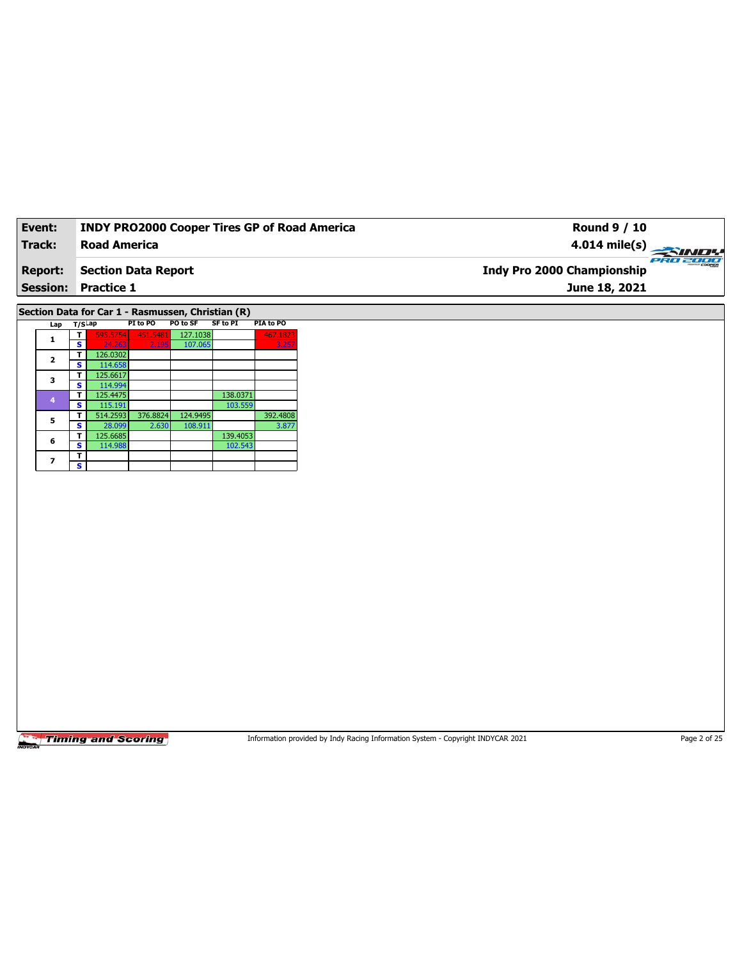| Event:         |                         |                                                     |          |          |                 | <b>INDY PRO2000 Cooper Tires GP of Road America</b> |  | <b>Round 9 / 10</b>               |                 |
|----------------|-------------------------|-----------------------------------------------------|----------|----------|-----------------|-----------------------------------------------------|--|-----------------------------------|-----------------|
| Track:         |                         | <b>Road America</b>                                 |          |          |                 |                                                     |  | $4.014$ mile(s)                   | <b>PRO 2000</b> |
| <b>Report:</b> |                         | <b>Section Data Report</b>                          |          |          |                 |                                                     |  | <b>Indy Pro 2000 Championship</b> |                 |
|                |                         | <b>Session: Practice 1</b>                          |          |          |                 |                                                     |  | June 18, 2021                     |                 |
|                |                         | Section Data for Car 1 - Rasmussen, Christian (R)   |          |          |                 |                                                     |  |                                   |                 |
|                | Lap                     | $T/S$ Lap                                           | PI to PO | PO to SF | <b>SF to PI</b> | PIA to PO                                           |  |                                   |                 |
|                |                         | $\overline{\mathbf{r}}$<br>595.5754                 | 451.5481 | 127.1038 |                 | 467.1823                                            |  |                                   |                 |
|                | $\mathbf{1}$            | $\overline{\mathbf{s}}$<br>24.                      |          | 107.065  |                 |                                                     |  |                                   |                 |
|                | $\mathbf{2}$            | 126.0302<br>T                                       |          |          |                 |                                                     |  |                                   |                 |
|                |                         | $\overline{\mathbf{s}}$<br>114.658<br>T<br>125.6617 |          |          |                 |                                                     |  |                                   |                 |
|                | 3                       | $\overline{\mathbf{s}}$<br>114.994                  |          |          |                 |                                                     |  |                                   |                 |
|                |                         | 125.4475<br>$\overline{\mathbf{r}}$                 |          |          | 138.0371        |                                                     |  |                                   |                 |
|                | $\overline{4}$          | s<br>115.191                                        |          |          | 103.559         |                                                     |  |                                   |                 |
|                | 5                       | 514.2593<br>T                                       | 376.8824 | 124.9495 |                 | 392.4808                                            |  |                                   |                 |
|                |                         | $\overline{\mathbf{s}}$<br>28.099<br>125.6685<br>T  | 2.630    | 108.911  | 139.4053        | 3.877                                               |  |                                   |                 |
|                | 6                       | s<br>114.988                                        |          |          | 102.543         |                                                     |  |                                   |                 |
|                |                         | $\mathbf T$                                         |          |          |                 |                                                     |  |                                   |                 |
|                | $\overline{\mathbf{z}}$ | $\overline{\mathbf{s}}$                             |          |          |                 |                                                     |  |                                   |                 |
|                |                         |                                                     |          |          |                 |                                                     |  |                                   |                 |
|                |                         |                                                     |          |          |                 |                                                     |  |                                   |                 |
|                |                         |                                                     |          |          |                 |                                                     |  |                                   |                 |
|                |                         |                                                     |          |          |                 |                                                     |  |                                   |                 |
|                |                         |                                                     |          |          |                 |                                                     |  |                                   |                 |
|                |                         |                                                     |          |          |                 |                                                     |  |                                   |                 |
|                |                         |                                                     |          |          |                 |                                                     |  |                                   |                 |
|                |                         |                                                     |          |          |                 |                                                     |  |                                   |                 |
|                |                         |                                                     |          |          |                 |                                                     |  |                                   |                 |
|                |                         |                                                     |          |          |                 |                                                     |  |                                   |                 |
|                |                         |                                                     |          |          |                 |                                                     |  |                                   |                 |
|                |                         |                                                     |          |          |                 |                                                     |  |                                   |                 |
|                |                         |                                                     |          |          |                 |                                                     |  |                                   |                 |
|                |                         |                                                     |          |          |                 |                                                     |  |                                   |                 |
|                |                         |                                                     |          |          |                 |                                                     |  |                                   |                 |
|                |                         |                                                     |          |          |                 |                                                     |  |                                   |                 |
|                |                         |                                                     |          |          |                 |                                                     |  |                                   |                 |
|                |                         |                                                     |          |          |                 |                                                     |  |                                   |                 |
|                |                         |                                                     |          |          |                 |                                                     |  |                                   |                 |

Information provided by Indy Racing Information System - Copyright INDYCAR 2021 Page 2 of 25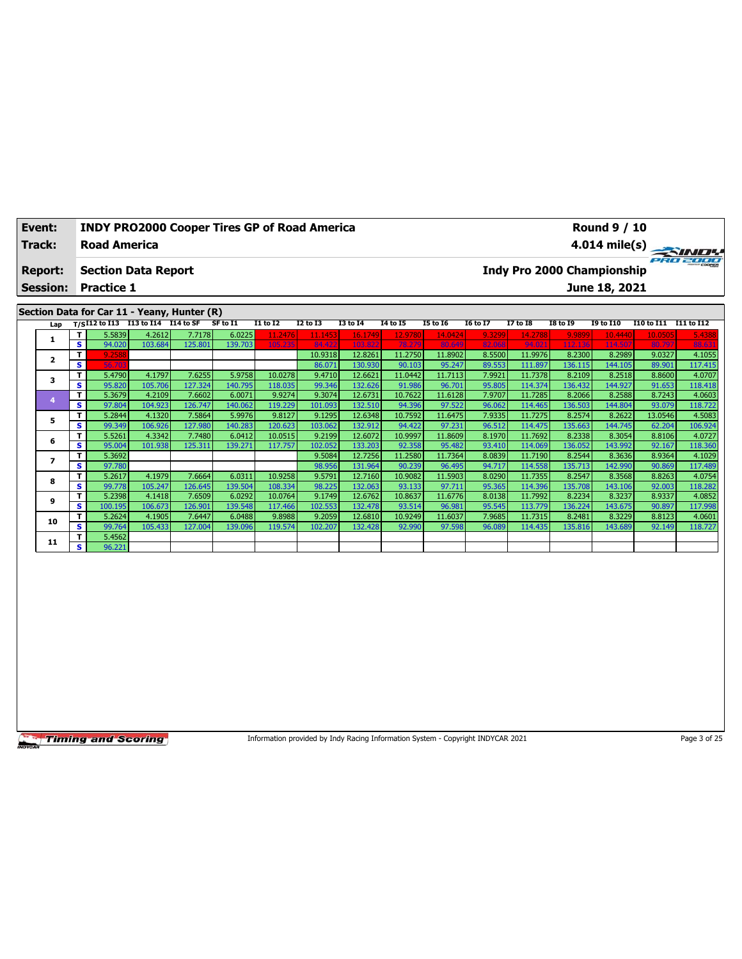| Event:          | <b>INDY PRO2000 Cooper Tires GP of Road America</b> |                 |                 |                 |                         |          |                 |           |          | <b>Round 9 / 10</b>        |  |                             |  |
|-----------------|-----------------------------------------------------|-----------------|-----------------|-----------------|-------------------------|----------|-----------------|-----------|----------|----------------------------|--|-----------------------------|--|
| Track:          | <b>Road America</b>                                 |                 |                 |                 | $4.014 \text{ mile(s)}$ |          |                 |           |          |                            |  |                             |  |
| <b>Report:</b>  | <b>Section Data Report</b>                          |                 |                 |                 |                         |          |                 |           |          | Indy Pro 2000 Championship |  | <b>PRO 2000</b>             |  |
| <b>Session:</b> | <b>Practice 1</b>                                   |                 |                 |                 |                         |          |                 |           |          | June 18, 2021              |  |                             |  |
|                 |                                                     |                 |                 |                 |                         |          |                 |           |          |                            |  |                             |  |
|                 | Section Data for Car 11 - Yeany, Hunter (R)         |                 |                 |                 |                         |          |                 |           |          |                            |  |                             |  |
|                 | $-1.1134.742$ $-13.54.744$ $-14.44.95$ $-0.54.74$   | <b>T1 44 T3</b> | <b>TO 44 TO</b> | <b>TO 44 TA</b> | <b>TALATE</b>           | TE LA TC | <b>TC 40 TT</b> | $T7 + 50$ | TO LA TO | <b>TO 44 T10</b>           |  | $T10.4 - T11$ $T11.4 - T12$ |  |

| Lap |                         |         | $T/SI12$ to $I13$ $I13$ to $I14$ $I14$ to SF |         | SF to I1 | I1 to I2 | I2 to I3 | I3 to I4 | 14 to 15 | <b>I5 to 16</b> | 16 to 17 | I7 to I8 | I8 to 19 | 19 to 110 | I10 to I11 | I11 to I12 |
|-----|-------------------------|---------|----------------------------------------------|---------|----------|----------|----------|----------|----------|-----------------|----------|----------|----------|-----------|------------|------------|
|     | T.                      | 5.5839  | 4.2612                                       | 7.7178  | 6.0225   | 11.2476  | 11.1453  | 16.1749  | 12.9780  | 14.0424         | 9.3299   | 14.2788  | 9.9899   | 10.4440   | 10.0505    | 5.4388     |
|     | s.                      | 94.020  | 103.684                                      | 125.801 | 139.703  | 105.235  | 84.422   | 103.822  | 78.279   | 80.649          | 82.068   | 94.021   | 112.136  | 114.50    | 80.797     | 88.631     |
| 2   | T                       | 9.2588  |                                              |         |          |          | 10.9318  | 12.8261  | 11.2750  | 11.8902         | 8.5500   | 11.9976  | 8.2300   | 8.2989    | 9.0327     | 4.1055     |
|     | s                       | 56.703  |                                              |         |          |          | 86.071   | 130.930  | 90.103   | 95.247          | 89.553   | 111.897  | 136.115  | 144.105   | 89.901     | 117.415    |
| 3   | Τ.                      | 5.4790  | 4.1797                                       | 7.6255  | 5.9758   | 10.0278  | 9.4710   | 12.6621  | 11.0442  | 11.7113         | 7.9921   | 11.7378  | 8.2109   | 8.2518    | 8.8600     | 4.0707     |
|     | <b>S</b>                | 95.820  | 105.706                                      | 127.324 | 140.795  | 118.035  | 99.346   | 132.626  | 91.986   | 96.701          | 95.805   | 114.374  | 136.432  | 144.927   | 91.653     | 118.418    |
|     | $\mathbf{T}$            | 5.3679  | 4.2109                                       | 7.6602  | 6.0071   | 9.9274   | 9.3074   | 12.6731  | 10.7622  | 11.6128         | 7.9707   | 11.7285  | 8.2066   | 8.2588    | 8.7243     | 4.0603     |
|     | s.                      | 97.804  | 104.923                                      | 126.747 | 140.062  | 119.229  | 101.093  | 132.510  | 94.396   | 97.522          | 96.062   | 114.465  | 136.503  | 144.804   | 93.079     | 118.722    |
| 5   | T.                      | 5.2844  | 4.1320                                       | 7.5864  | 5.9976   | 9.8127   | 9.1295   | 12.6348  | 10.7592  | 11.6475         | 7.9335   | 11.7275  | 8.2574   | 8.2622    | 13.0546    | 4.5083     |
|     | s.                      | 99.349  | 106.926                                      | 127.980 | 140.283  | 120.623  | 103.062  | 132.912  | 94.422   | 97.231          | 96.512   | 114.475  | 135.663  | 144.745   | 62.204     | 106.924    |
| 6   | T.                      | 5.5261  | 4.3342                                       | 7.7480  | 6.0412   | 10.0515  | 9.2199   | 12.6072  | 10.9997  | 11.8609         | 8.1970   | 11.7692  | 8.2338   | 8.3054    | 8.8106     | 4.0727     |
|     | <b>S</b>                | 95.004  | 101.938                                      | 125.311 | 139.271  | 117.757  | 102.052  | 133.203  | 92.358   | 95.482          | 93.410   | 114.069  | 136.052  | 143.992   | 92.167     | 118.360    |
|     | T                       | 5.3692  |                                              |         |          |          | 9.5084   | 12.7256  | 11.2580  | 11.7364         | 8.0839   | 11.7190  | 8.2544   | 8.3636    | 8.9364     | 4.1029     |
|     | s.                      | 97.780  |                                              |         |          |          | 98.956   | 131.964  | 90.239   | 96.495          | 94.717   | 114.558  | 135.713  | 142.990   | 90.869     | 117.489    |
| 8   | $\mathbf{T}$            | 5.2617  | 4.1979                                       | 7.6664  | 6.0311   | 10.9258  | 9.5791   | 12.7160  | 10.9082  | 11.5903         | 8.0290   | 11.7355  | 8.2547   | 8.3568    | 8.8263     | 4.0754     |
|     | s.                      | 99.778  | 105.247                                      | 126.645 | 139.504  | 108.334  | 98.225   | 132.063  | 93.133   | 97.711          | 95.365   | 114.396  | 135.708  | 143.106   | 92.003     | 118.282    |
| 9   | T.                      | 5.2398  | 4.1418                                       | 7.6509  | 6.0292   | 10.0764  | 9.1749   | 12.6762  | 10.8637  | 11.6776         | 8.0138   | 11.7992  | 8.2234   | 8.3237    | 8.9337     | 4.0852     |
|     | s.                      | 100.195 | 106.673                                      | 126.901 | 139.548  | 117.466  | 102.553  | 132.478  | 93.514   | 96.981          | 95.545   | 113.779  | 136.224  | 143.675   | 90.897     | 117.998    |
| 10  | $\mathbf{T}$            | 5.2624  | 4.1905                                       | 7.6447  | 6.0488   | 9.8988   | 9.2059   | 12.6810  | 10.9249  | 11.6037         | 7.9685   | 11.7315  | 8.2481   | 8.3229    | 8.8123     | 4.0601     |
|     | <b>S</b>                | 99.764  | 105.433                                      | 127.004 | 139.096  | 119.574  | 102.207  | 132.428  | 92.990   | 97.598          | 96.089   | 114.435  | 135.816  | 143.689   | 92.149     | 118.727    |
| 11  | T.                      | 5.4562  |                                              |         |          |          |          |          |          |                 |          |          |          |           |            |            |
|     | $\overline{\mathbf{s}}$ | 96.221  |                                              |         |          |          |          |          |          |                 |          |          |          |           |            |            |

Information provided by Indy Racing Information System - Copyright INDYCAR 2021 Page 3 of 25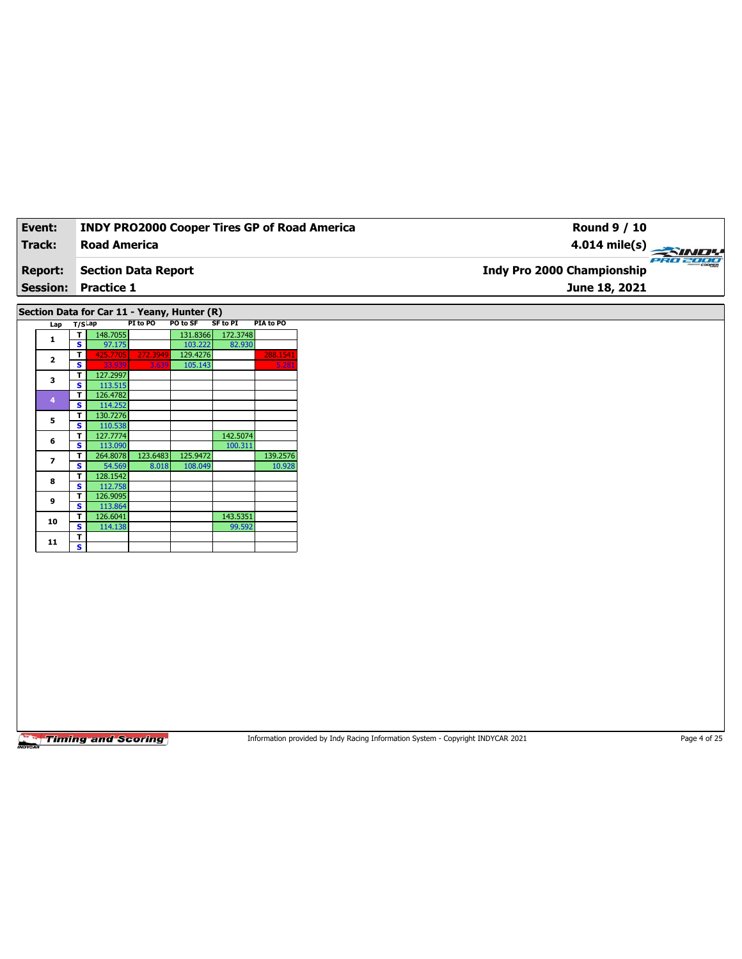| Event:         | <b>INDY PRO2000 Cooper Tires GP of Road America</b> | Round 9 / 10                                  |
|----------------|-----------------------------------------------------|-----------------------------------------------|
| Track:         | <b>Road America</b>                                 | 4.014 mile(s) $\rightarrow$                   |
| <b>Report:</b> | <b>Section Data Report</b>                          | PRO 2000<br><b>Indy Pro 2000 Championship</b> |
|                | <b>Session: Practice 1</b>                          | June 18, 2021                                 |
|                |                                                     |                                               |
|                | Section Data for Car 11 - Veany Hunter (D)          |                                               |

| Lap            | T/S <sup>⊥ap</sup> |          | PI to PO | PO to SF | <b>SF to PI</b> | PIA to PO |
|----------------|--------------------|----------|----------|----------|-----------------|-----------|
|                | т                  | 148.7055 |          | 131.8366 | 172.3748        |           |
| 1              | s                  | 97.175   |          | 103.222  | 82.930          |           |
| $\mathbf{2}$   | т                  | 425.7705 | 272.3949 | 129.4276 |                 | 288.1541  |
|                | s                  | 33.939   | 3.639    | 105.143  |                 | 5.281     |
| з              | т                  | 127.2997 |          |          |                 |           |
|                | s                  | 113.515  |          |          |                 |           |
| $\overline{4}$ | т                  | 126.4782 |          |          |                 |           |
|                | s                  | 114.252  |          |          |                 |           |
| 5              | т                  | 130.7276 |          |          |                 |           |
|                | s                  | 110.538  |          |          |                 |           |
| 6              | T                  | 127.7774 |          |          | 142.5074        |           |
|                | s.                 | 113.090  |          |          | 100.311         |           |
| 7              | T                  | 264.8078 | 123.6483 | 125.9472 |                 | 139.2576  |
|                | s.                 | 54.569   | 8.018    | 108.049  |                 | 10.928    |
| 8              | т                  | 128.1542 |          |          |                 |           |
|                | s                  | 112.758  |          |          |                 |           |
| 9              | т                  | 126.9095 |          |          |                 |           |
|                | s                  | 113.864  |          |          |                 |           |
| 10             | T                  | 126.6041 |          |          | 143.5351        |           |
|                | s                  | 114.138  |          |          | 99.592          |           |
| 11             | т                  |          |          |          |                 |           |
|                | s                  |          |          |          |                 |           |

Information provided by Indy Racing Information System - Copyright INDYCAR 2021 Page 4 of 25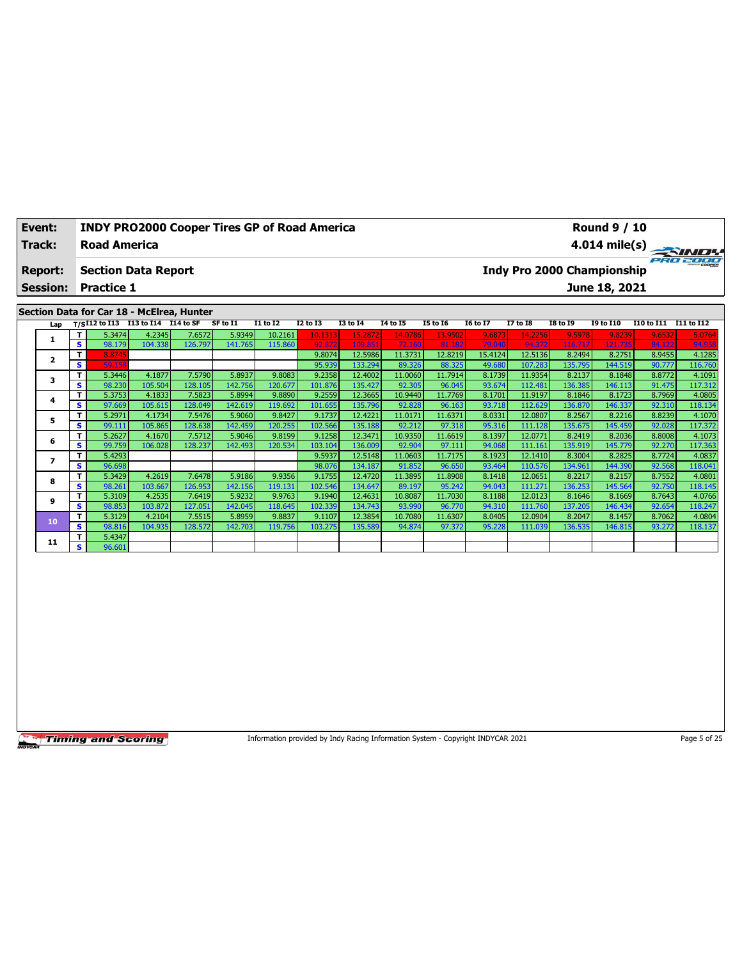| Event:         | <b>INDY PRO2000 Cooper Tires GP of Road America</b> | <b>Round 9 / 10</b>                           |
|----------------|-----------------------------------------------------|-----------------------------------------------|
| Track:         | <b>Road America</b>                                 |                                               |
| <b>Report:</b> | <b>Section Data Report</b>                          | PRO 2000<br><b>Indy Pro 2000 Championship</b> |
|                | <b>Session: Practice 1</b>                          | June 18, 2021                                 |
|                | Section Data for Car 18 - McElrea, Hunter           |                                               |

## **Section Data for Car 18 - McElrea, Hunter**

| Lap                     |    |        | T/SI12 to I13 I13 to I14 $\overline{114}$ to SF |         | SF to I1 | <b>I1 to I2</b> | <b>I2 to I3</b> | <b>I3 to I4</b> | 14 to 15 | <b>I5 to 16</b> | <b>16 to 17</b> | 17 to 18 | <b>I8 to 19</b> | <b>19 to I10</b> | I10 to I11 | I11 to I12 |
|-------------------------|----|--------|-------------------------------------------------|---------|----------|-----------------|-----------------|-----------------|----------|-----------------|-----------------|----------|-----------------|------------------|------------|------------|
|                         |    | 5.3474 | 4.2345                                          | 7.6572  | 5.9349   | 10.2161         | 10.1313         | 15.2872         | 14.0786  | 13.9502         | 9.6873          | 14.2256  | 9.5978          | 9.8239           | 9.6532     | 5.0764     |
|                         | s  | 98.179 | 104.338                                         | 126.797 | 141.765  | 115.860         | 92.872          | 109.851         | 72.160   | 81.182          | 79.040          | 94.372   | 116.717         | 121.735          | 84.122     | 94.958     |
| $\overline{\mathbf{z}}$ | T. | 8.8745 |                                                 |         |          |                 | 9.8074          | 12.5986         | 11.3731  | 12.8219         | 15.4124         | 12.5136  | 8.2494          | 8.2751           | 8.9455     | 4.1285     |
|                         | s  | 59.158 |                                                 |         |          |                 | 95.939          | 133.294         | 89.326   | 88.325          | 49.680          | 107.283  | 135.795         | 144.519          | 90.777     | 116.760    |
| 3                       | т  | 5.3446 | 4.1877                                          | 7.5790  | 5.8937   | 9.8083          | 9.2358          | 12.4002         | 11.0060  | 11.7914         | 8.1739          | 11.9354  | 8.2137          | 8.1848           | 8.8772     | 4.1091     |
|                         | s  | 98.230 | 105.504                                         | 128.105 | 142.756  | 120.677         | 101.876         | 135.427         | 92.305   | 96.045          | 93.674          | 112.481  | 136.385         | 146.113          | 91.475     | 117.312    |
| 4                       | т  | 5.3753 | 4.1833                                          | 7.5823  | 5.8994   | 9.8890          | 9.2559          | 12.3665         | 10.9440  | 11.7769         | 8.1701          | 11.9197  | 8.1846          | 8.1723           | 8.7969     | 4.0805     |
|                         | s  | 97.669 | 105.615                                         | 128.049 | 142.619  | 119.692         | 101.655         | 135.796         | 92.828   | 96.163          | 93.718          | 112.629  | 136.870         | 146.337          | 92.310     | 118.134    |
| 5                       | т  | 5.2971 | 4.1734                                          | 7.5476  | 5.9060   | 9.8427          | 9.1737          | 12.4221         | 11.0171  | 11.6371         | 8.0331          | 12.0807  | 8.2567          | 8.2216           | 8.8239     | 4.1070     |
|                         | s  | 99.111 | 105.865                                         | 128.638 | 142.459  | 120.255         | 102.566         | 135.188         | 92.212   | 97.318          | 95.316          | 111.128  | 135.675         | 145.459          | 92.028     | 117.372    |
| 6                       |    | 5.2627 | 4.1670                                          | 7.5712  | 5.9046   | 9.8199          | 9.1258          | 12.3471         | 10.9350  | 11.6619         | 8.1397          | 12.0771  | 8.2419          | 8.2036           | 8.8008     | 4.1073     |
|                         | s  | 99.759 | 106.028                                         | 128.237 | 142.493  | 120.534         | 103.104         | 136.009         | 92.904   | 97.111          | 94.068          | 111.161  | 135.919         | 145.779          | 92.270     | 117.363    |
|                         |    | 5.4293 |                                                 |         |          |                 | 9.5937          | 12.5148         | 11.0603  | 11.7175         | 8.1923          | 12.1410  | 8.3004          | 8.2825           | 8.7724     | 4.0837     |
|                         | s  | 96.698 |                                                 |         |          |                 | 98.076          | 134.187         | 91.852   | 96.650          | 93.464          | 110.576  | 134.961         | 144.390          | 92.568     | 118.041    |
| 8                       | т  | 5.3429 | 4.2619                                          | 7.6478  | 5.9186   | 9.9356          | 9.1755          | 12.4720         | 11.3895  | 11.8908         | 8.1418          | 12.0651  | 8.2217          | 8.2157           | 8.7552     | 4.0801     |
|                         | s  | 98.261 | 103.667                                         | 126.953 | 142.156  | 119.131         | 102.546         | 134.647         | 89.197   | 95.242          | 94.043          | 111.271  | 136.253         | 145.564          | 92.750     | 118.145    |
| 9                       |    | 5.3109 | 4.2535                                          | 7.6419  | 5.9232   | 9.9763          | 9.1940          | 12.4631         | 10.8087  | 11.7030         | 8.1188          | 12.0123  | 8.1646          | 8.1669           | 8.7643     | 4.0766     |
|                         | s. | 98.853 | 103.872                                         | 127.051 | 142.045  | 118.645         | 102.339         | 134.743         | 93.990   | 96.770          | 94.310          | 111.760  | 137.205         | 146.434          | 92.654     | 118.247    |
| 10                      |    | 5.3129 | 4.2104                                          | 7.5515  | 5.8959   | 9.8837          | 9.1107          | 12.3854         | 10.7080  | 11.6307         | 8.0405          | 12.0904  | 8.2047          | 8.1457           | 8.7062     | 4.0804     |
|                         | s  | 98.816 | 104.935                                         | 128.572 | 142.703  | 119.756         | 103.275         | 135.589         | 94.874   | 97.372          | 95.228          | 111.039  | 136.535         | 146.815          | 93.272     | 118.137    |
| 11                      | т  | 5.4347 |                                                 |         |          |                 |                 |                 |          |                 |                 |          |                 |                  |            |            |
|                         | s. | 96.601 |                                                 |         |          |                 |                 |                 |          |                 |                 |          |                 |                  |            |            |

**Timing and Scoring** 

Information provided by Indy Racing Information System - Copyright INDYCAR 2021 Page 5 of 25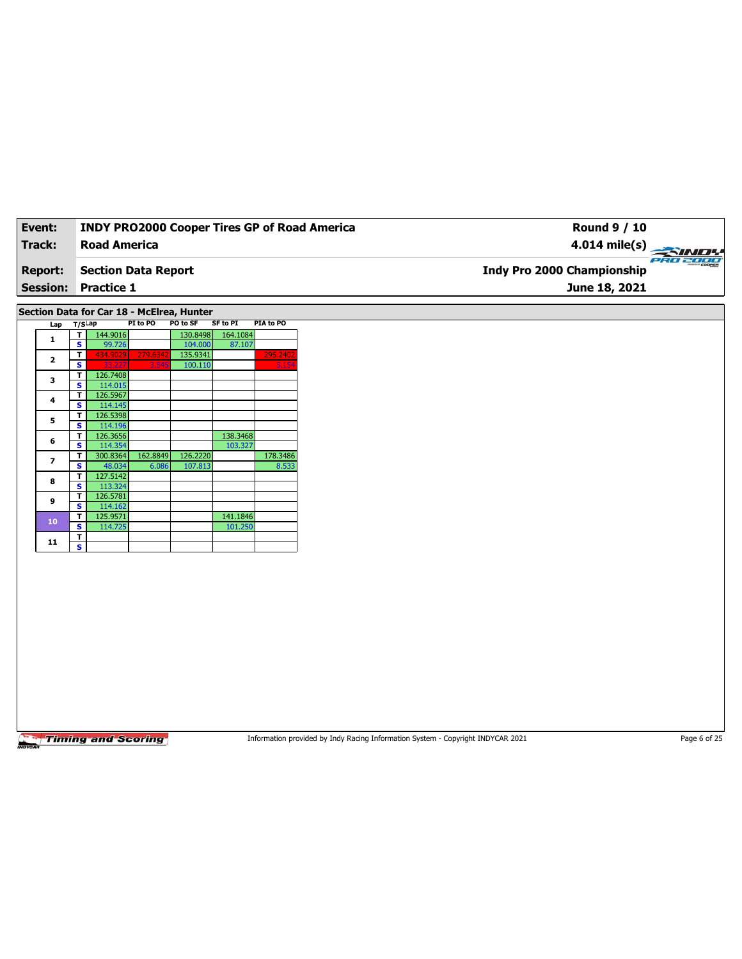| Event:          | <b>INDY PRO2000 Cooper Tires GP of Road America</b> | Round 9 / 10                                  |
|-----------------|-----------------------------------------------------|-----------------------------------------------|
| Track:          | Road America                                        | $4.014 \text{ mile(s)}$                       |
| <b>Report:</b>  | Section Data Report                                 | PRO 2000<br><b>Indy Pro 2000 Championship</b> |
| <b>Session:</b> | <b>Practice 1</b>                                   | June 18, 2021                                 |
|                 |                                                     |                                               |

**Section Data for Car 18 - McElrea, Hunter**

| Lap            | T/S <sup>Lap</sup> |          | PI to PO | PO to SF | SF to PI | PIA to PO |
|----------------|--------------------|----------|----------|----------|----------|-----------|
| 1              | т                  | 144.9016 |          | 130.8498 | 164.1084 |           |
|                | s                  | 99.726   |          | 104.000  | 87.107   |           |
| $\overline{2}$ | т                  | 434.9029 | 279.6342 | 135.9341 |          | 295.2402  |
|                | s                  | 33.227   | 3.545    | 100.110  |          | 5.154     |
| 3              | т                  | 126.7408 |          |          |          |           |
|                | s                  | 114.015  |          |          |          |           |
| 4              | т                  | 126.5967 |          |          |          |           |
|                | S                  | 114.145  |          |          |          |           |
| 5              | т                  | 126.5398 |          |          |          |           |
|                | s                  | 114.196  |          |          |          |           |
| 6              | т                  | 126.3656 |          |          | 138.3468 |           |
|                | S                  | 114.354  |          |          | 103.327  |           |
| 7              | т                  | 300.8364 | 162.8849 | 126.2220 |          | 178.3486  |
|                | s                  | 48.034   | 6.086    | 107.813  |          | 8.533     |
| 8              | т                  | 127.5142 |          |          |          |           |
|                | S                  | 113.324  |          |          |          |           |
| 9              | т                  | 126.5781 |          |          |          |           |
|                | S                  | 114.162  |          |          |          |           |
| 10             | т                  | 125.9571 |          |          | 141.1846 |           |
|                | s                  | 114.725  |          |          | 101.250  |           |
| 11             | т                  |          |          |          |          |           |
|                | s                  |          |          |          |          |           |

**Timing and Scoring** 

Information provided by Indy Racing Information System - Copyright INDYCAR 2021 Page 6 of 25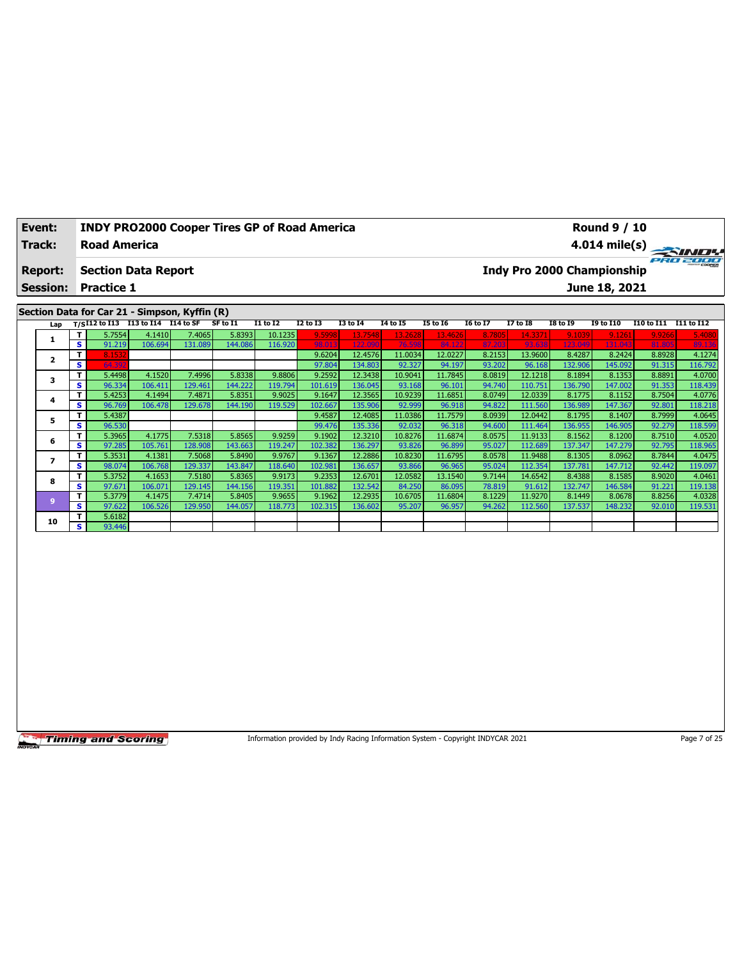| Event:          | <b>INDY PRO2000 Cooper Tires GP of Road America</b>                       |          |          |          |                 |          |                 |                 |                 | <b>Round 9 / 10</b>               |                                     |                         |
|-----------------|---------------------------------------------------------------------------|----------|----------|----------|-----------------|----------|-----------------|-----------------|-----------------|-----------------------------------|-------------------------------------|-------------------------|
| Track:          | <b>Road America</b>                                                       |          |          |          |                 |          |                 |                 |                 |                                   |                                     | $4.014 \text{ mile(s)}$ |
| <b>Report:</b>  | <b>Section Data Report</b>                                                |          |          |          |                 |          |                 |                 |                 | <b>Indy Pro 2000 Championship</b> |                                     | ero zooo                |
| <b>Session:</b> | <b>Practice 1</b>                                                         |          |          |          |                 |          |                 |                 |                 | June 18, 2021                     |                                     |                         |
|                 |                                                                           |          |          |          |                 |          |                 |                 |                 |                                   |                                     |                         |
|                 | Section Data for Car 21 - Simpson, Kyffin (R)                             |          |          |          |                 |          |                 |                 |                 |                                   |                                     |                         |
|                 | $\mu_{\text{on}}$ $\mu_{\text{c}}$ [12 to [13 to [14 to 14 to SF SF to [1 | T1 to T2 | 12 to 13 | T3 to T4 | <b>14 to 15</b> | 15 to 16 | <b>I6 to 17</b> | <b>17 to 18</b> | <b>TR to TQ</b> | T9 to T10                         | <b>T10</b> to T11 <b>T11</b> to T12 |                         |

| Lap      |     |        | $T/SI12$ to I13 I13 to I14 I14 to SF |         | SF to I1 | I1 to I2 | I2 to I3 | I3 to I4 | 14 to 15 | I5 to I6 | 16 to 17 | I7 to I8 | I8 to 19 | I9 to I10 | I10 to I11 | I11 to I12 |
|----------|-----|--------|--------------------------------------|---------|----------|----------|----------|----------|----------|----------|----------|----------|----------|-----------|------------|------------|
|          | T.  | 5.7554 | 4.1410                               | 7.4065  | 5.8393   | 10.1235  | 9.5998   | 13.7548  | 13.2628  | 13.4626  | 8.7805   | 14.3371  | 9.1039   | 9.1261    | 9.9266     | 5.4080     |
|          | S   | 91.219 | 106.694                              | 131.089 | 144.086  | 116.920  | 98.013   | 122.090  | 76.598   | 84.122   | 87.203   | 93.638   | 123.049  | 131.043   | 81.805     | 89.136     |
|          | т   | 8.1532 |                                      |         |          |          | 9.6204   | 12.4576  | 11.0034  | 12.0227  | 8.2153   | 13.9600  | 8.4287   | 8.2424    | 8.8928     | 4.1274     |
|          | s   | 64.392 |                                      |         |          |          | 97.804   | 134.803  | 92.327   | 94.197   | 93.202   | 96.168   | 132.906  | 145.092   | 91.315     | 116.792    |
| 3        | T.  | 5.4498 | 4.1520                               | 7.4996  | 5.8338   | 9.8806   | 9.2592   | 12.3438  | 10.9041  | 11.7845  | 8.0819   | 12.1218  | 8.1894   | 8.1353    | 8.8891     | 4.0700     |
|          | S   | 96.334 | 106.411                              | 129.461 | 144.222  | 119.794  | 101.619  | 136.045  | 93.168   | 96.101   | 94.740   | 110.751  | 136.790  | 147.002   | 91.353     | 118.439    |
| 4        | T.  | 5.4253 | 4.1494                               | 7.4871  | 5.8351   | 9.9025   | 9.1647   | 12.3565  | 10.9239  | 11.6851  | 8.0749   | 12.0339  | 8.1775   | 8.1152    | 8.7504     | 4.0776     |
|          | s.  | 96.769 | 106.478                              | 129.678 | 144.190  | 119.529  | 102.667  | 135.906  | 92.999   | 96.918   | 94.822   | 111.560  | 136.989  | 147.367   | 92.801     | 118.218    |
| 5        | T.  | 5.4387 |                                      |         |          |          | 9.4587   | 12.4085  | 11.0386  | 11.7579  | 8.0939   | 12.0442  | 8.1795   | 8.1407    | 8.7999     | 4.0645     |
|          | s.  | 96.530 |                                      |         |          |          | 99.476   | 135.336  | 92.032   | 96.318   | 94.600   | 111.464  | 136.955  | 146.905   | 92.279     | 118.599    |
| 6        | T.  | 5.3965 | 4.1775                               | 7.5318  | 5.8565   | 9.9259   | 9.1902   | 12.3210  | 10.8276  | 11.6874  | 8.0575   | 11.9133  | 8.1562   | 8.1200    | 8.7510     | 4.0520     |
|          | S   | 97.285 | 105.761                              | 128.908 | 143.663  | 119.247  | 102.382  | 136.297  | 93.826   | 96.899   | 95.027   | 112.689  | 137.347  | 147.279   | 92.795     | 118.965    |
|          | T.  | 5.3531 | 4.1381                               | 7.5068  | 5.8490   | 9.9767   | 9.1367   | 12.2886  | 10.8230  | 11.6795  | 8.0578   | 11.9488  | 8.1305   | 8.0962    | 8.7844     | 4.0475     |
|          | S   | 98.074 | 106.768                              | 129.337 | 143.847  | 118.640  | 102.981  | 136.657  | 93.866   | 96.965   | 95.024   | 112.354  | 137.781  | 147.712   | 92.442     | 119.097    |
| 8        | T.  | 5.3752 | 4.1653                               | 7.5180  | 5.8365   | 9.9173   | 9.2353   | 12.6701  | 12.0582  | 13.1540  | 9.7144   | 14.6542  | 8.4388   | 8.1585    | 8.9020     | 4.0461     |
|          | S   | 97.671 | 106.071                              | 129.145 | 144.156  | 119.351  | 101.882  | 132.542  | 84.250   | 86.095   | 78.819   | 91.612   | 132.747  | 146.584   | 91.221     | 119.138    |
| <b>g</b> | T.  | 5.3779 | 4.1475                               | 7.4714  | 5.8405   | 9.9655   | 9.1962   | 12.2935  | 10.6705  | 11.6804  | 8.1229   | 11.9270  | 8.1449   | 8.0678    | 8.8256     | 4.0328     |
|          | S   | 97.622 | 106.526                              | 129.950 | 144.057  | 118.773  | 102.315  | 136.602  | 95.207   | 96.957   | 94.262   | 112.560  | 137.537  | 148.232   | 92.010     | 119.531    |
| 10       | T.  | 5.6182 |                                      |         |          |          |          |          |          |          |          |          |          |           |            |            |
|          | s l | 93.446 |                                      |         |          |          |          |          |          |          |          |          |          |           |            |            |

Information provided by Indy Racing Information System - Copyright INDYCAR 2021 Page 7 of 25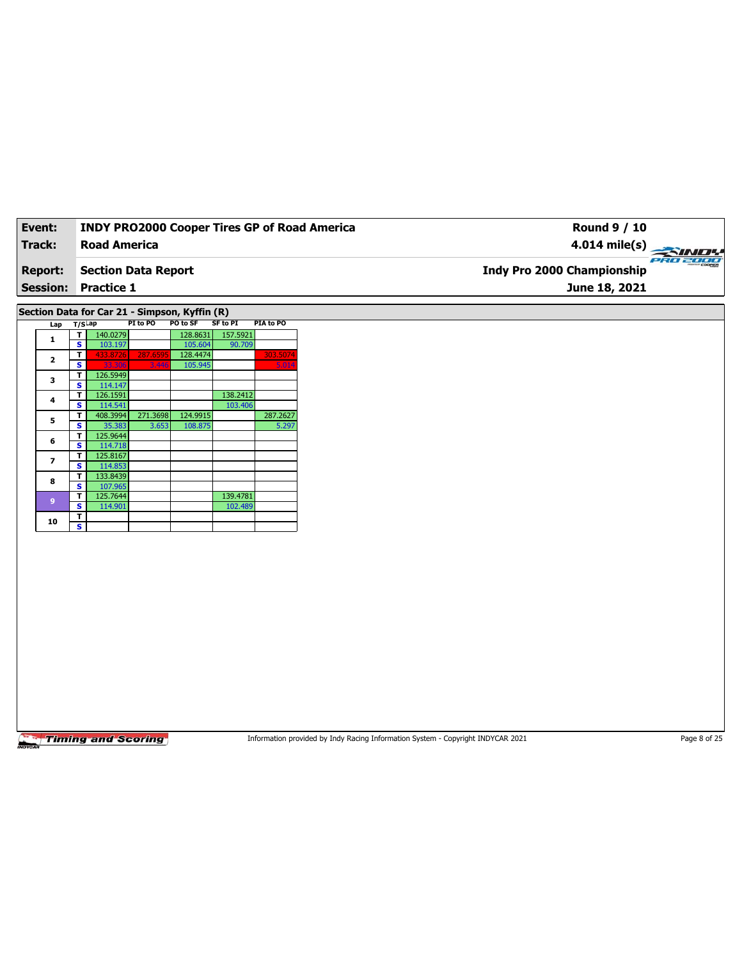| Event:         | <b>INDY PRO2000 Cooper Tires GP of Road America</b>                   | <b>Round 9 / 10</b>                    |
|----------------|-----------------------------------------------------------------------|----------------------------------------|
| Track:         | <b>Road America</b>                                                   | $4.014 \text{ mile(s)}$                |
| <b>Report:</b> | <b>Section Data Report</b>                                            | PRO 2000<br>Indy Pro 2000 Championship |
|                | <b>Session: Practice 1</b>                                            | June 18, 2021                          |
|                |                                                                       |                                        |
|                | Section Data for Car 21 - Simpson, Kyffin (R)                         |                                        |
|                | SF to PI<br>PIA to PO<br>PI to PO<br><b>PO to SF</b><br>$I$ an T/SLap |                                        |

| Lap            |   | 173 HP   |          |          |          |          |
|----------------|---|----------|----------|----------|----------|----------|
| 1              | т | 140.0279 |          | 128.8631 | 157.5921 |          |
|                | s | 103.197  |          | 105.604  | 90.709   |          |
| $\overline{2}$ | т | 433.8726 | 287.6595 | 128.4474 |          | 303.5074 |
|                | s | 33.306   | 3.446    | 105.945  |          | 5.014    |
| 3              | т | 126.5949 |          |          |          |          |
|                | s | 114.147  |          |          |          |          |
| 4              | т | 126.1591 |          |          | 138.2412 |          |
|                | s | 114.541  |          |          | 103.406  |          |
| 5              | т | 408.3994 | 271.3698 | 124.9915 |          | 287.2627 |
|                | s | 35.383   | 3.653    | 108.875  |          | 5.297    |
| 6              | т | 125.9644 |          |          |          |          |
|                | s | 114.718  |          |          |          |          |
| 7              | т | 125.8167 |          |          |          |          |
|                | S | 114.853  |          |          |          |          |
| 8              | т | 133.8439 |          |          |          |          |
|                | s | 107.965  |          |          |          |          |
| 9              | т | 125.7644 |          |          | 139.4781 |          |
|                | s | 114.901  |          |          | 102.489  |          |
| 10             | т |          |          |          |          |          |
|                | S |          |          |          |          |          |

Information provided by Indy Racing Information System - Copyright INDYCAR 2021 Page 8 of 25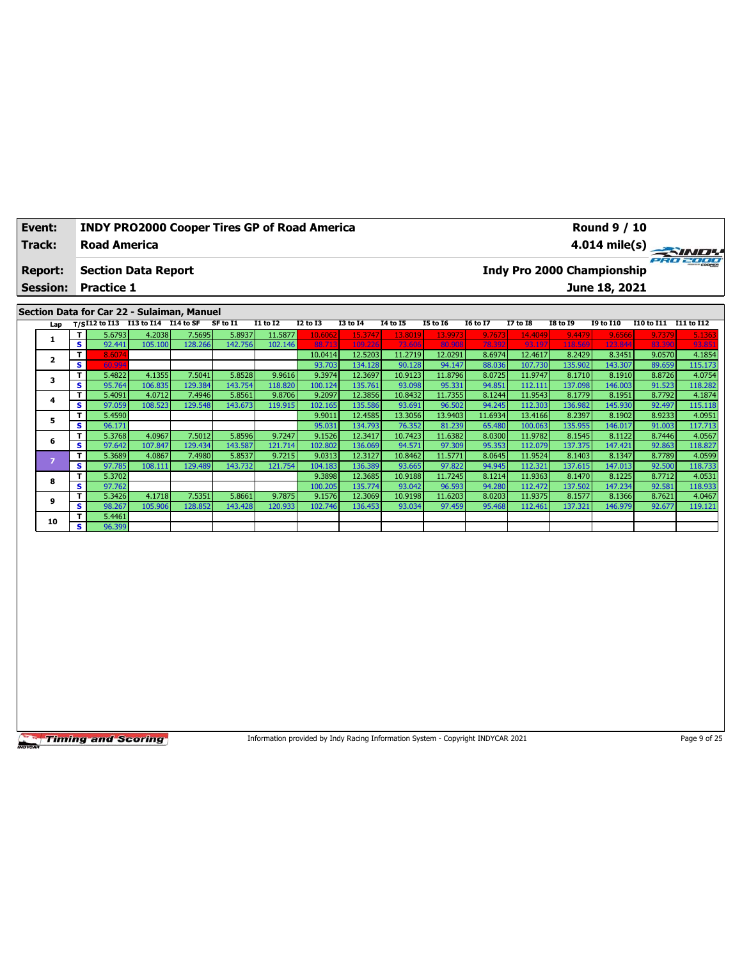| Event:                                     | <b>INDY PRO2000 Cooper Tires GP of Road America</b> | <b>Round 9 / 10</b>                           |  |  |  |  |  |  |  |
|--------------------------------------------|-----------------------------------------------------|-----------------------------------------------|--|--|--|--|--|--|--|
| Track:                                     | <b>Road America</b>                                 | 4.014 mile(s)                                 |  |  |  |  |  |  |  |
| <b>Report:</b>                             | <b>Section Data Report</b>                          | PRO 2000<br><b>Indy Pro 2000 Championship</b> |  |  |  |  |  |  |  |
| <b>Session:</b>                            | <b>Practice 1</b>                                   | June 18, 2021                                 |  |  |  |  |  |  |  |
| Section Data for Car 22 - Sulaiman, Manuel |                                                     |                                               |  |  |  |  |  |  |  |

| Lap |     |        | $T/SI12$ to I13 I13 to I14 | I14 to SF | SF to I1 | <b>I1 to I2</b> | I2 to I3 | <b>I3 to I4</b> | 14 to 15 | <b>I5 to 16</b> | <b>16 to 17</b> | <b>I7 to I8</b> | <b>I8 to I9</b> | <b>19 to I10</b> | I10 to I11 | I11 to I12 |
|-----|-----|--------|----------------------------|-----------|----------|-----------------|----------|-----------------|----------|-----------------|-----------------|-----------------|-----------------|------------------|------------|------------|
|     | T.  | 5.6793 | 4.2038                     | 7.5695    | 5.8937   | 11.5877         | 10.6062  | 15.3747         | 13.8019  | 13.9973         | 9.7673          | 14.4049         | 9.4479          | 9.6566           | 9.7379     | 5.1363     |
|     | s.  | 92.441 | 105.100                    | 128.266   | 142.756  | 102.146         | 88.713   | 109.226         | 73.606   | 80.908          | 78.392          | 93.197          | 118.569         | 123.844          | 83.390     | 93.851     |
|     | т   | 8.6074 |                            |           |          |                 | 10.0414  | 12.5203         | 11.2719  | 12.0291         | 8.6974          | 12.4617         | 8.2429          | 8.3451           | 9.0570     | 4.1854     |
|     | s   | 60.994 |                            |           |          |                 | 93.703   | 134.128         | 90.128   | 94.147          | 88.036          | 107.730         | 135.902         | 143.307          | 89.659     | 115.173    |
| 3   | т.  | 5.4822 | 4.1355                     | 7.5041    | 5.8528   | 9.9616          | 9.3974   | 12.3697         | 10.9123  | 11.8796         | 8.0725          | 11.9747         | 8.1710          | 8.1910           | 8.8726     | 4.0754     |
|     | s.  | 95.764 | 106.835                    | 129.384   | 143.754  | 118.820         | 100.124  | 135.761         | 93.098   | 95.331          | 94.851          | 112.111         | 137.098         | 146.003          | 91.523     | 118.282    |
| 4   | T.  | 5.4091 | 4.0712                     | 7.4946    | 5.8561   | 9.8706          | 9.2097   | 12.3856         | 10.8432  | 11.7355         | 8.1244          | 11.9543         | 8.1779          | 8.1951           | 8.7792     | 4.1874     |
|     | s.  | 97.059 | 108.523                    | 129.548   | 143.673  | 119.915         | 102.165  | 135.586         | 93.691   | 96.502          | 94.245          | 112.303         | 136.982         | 145.930          | 92.497     | 115.118    |
| 5   | т   | 5.4590 |                            |           |          |                 | 9.9011   | 12.4585         | 13.3056  | 13.9403         | 11.6934         | 13.4166         | 8.2397          | 8.1902           | 8.9233     | 4.0951     |
|     | s.  | 96.171 |                            |           |          |                 | 95.031   | 134.793         | 76.352   | 81.239          | 65.480          | 100.063         | 135.955         | 146.017          | 91.003     | 117.713    |
| 6   | T.  | 5.3768 | 4.0967                     | 7.5012    | 5.8596   | 9.7247          | 9.1526   | 12.3417         | 10.7423  | 11.6382         | 8.0300          | 11.9782         | 8.1545          | 8.1122           | 8.7446     | 4.0567     |
|     | s.  | 97.642 | 107.847                    | 129.434   | 143.587  | 121.714         | 102.802  | 136.069         | 94.571   | 97.309          | 95.353          | 112.079         | 137.375         | 147.421          | 92.863     | 118.827    |
| ×   | т   | 5.3689 | 4.0867                     | 7.4980    | 5.8537   | 9.7215          | 9.0313   | 12.3127         | 10.8462  | 11.5771         | 8.0645          | 11.9524         | 8.1403          | 8.1347           | 8.7789     | 4.0599     |
|     | s.  | 97.785 | 108.111                    | 129.489   | 143.732  | 121.754         | 104.183  | 136.389         | 93.665   | 97.822          | 94.945          | 112.321         | 137.615         | 147.013          | 92.500     | 118.733    |
| 8   | T.  | 5.3702 |                            |           |          |                 | 9.3898   | 12.3685         | 10.9188  | 11.7245         | 8.1214          | 11.9363         | 8.1470          | 8.1225           | 8.7712     | 4.0531     |
|     | s.  | 97.762 |                            |           |          |                 | 100.205  | 135.774         | 93.042   | 96.593          | 94.280          | 112.472         | 137.502         | 147.234          | 92.581     | 118.933    |
| 9   | T.  | 5.3426 | 4.1718                     | 7.5351    | 5.8661   | 9.7875          | 9.1576   | 12.3069         | 10.9198  | 11.6203         | 8.0203          | 11.9375         | 8.1577          | 8.1366           | 8.7621     | 4.0467     |
|     | s.  | 98.267 | 105.906                    | 128.852   | 143.428  | 120.933         | 102.746  | 136.453         | 93.034   | 97.459          | 95.468          | 112.461         | 137.321         | 146.979          | 92.677     | 119.121    |
| 10  | T.  | 5.4461 |                            |           |          |                 |          |                 |          |                 |                 |                 |                 |                  |            |            |
|     | s l | 96.399 |                            |           |          |                 |          |                 |          |                 |                 |                 |                 |                  |            |            |

Information provided by Indy Racing Information System - Copyright INDYCAR 2021 Page 9 of 25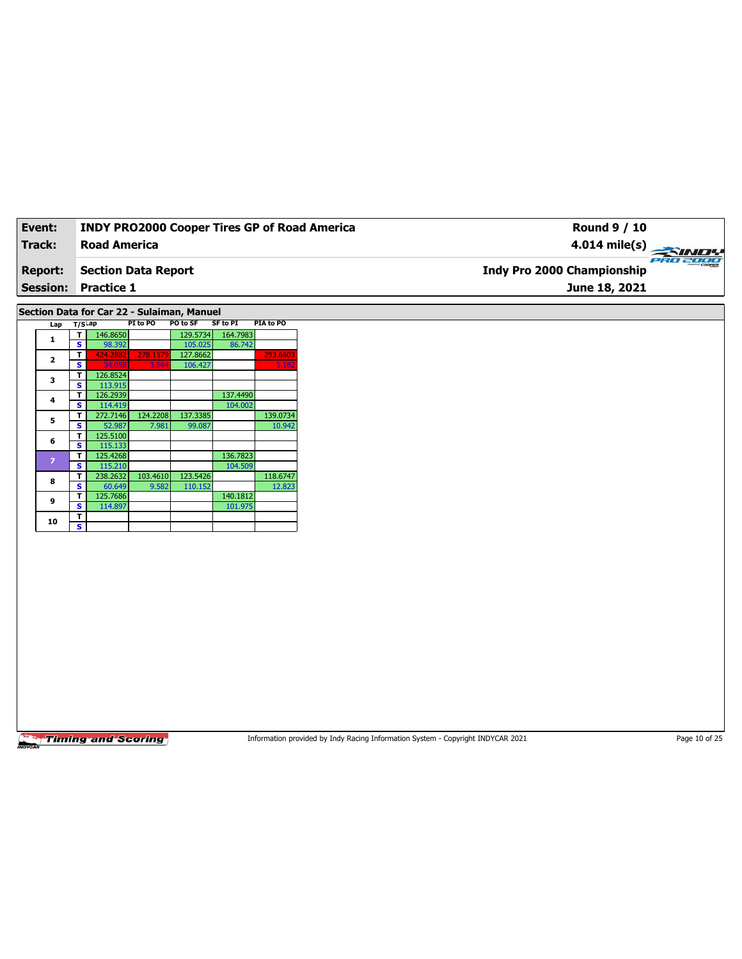| Event:         | <b>INDY PRO2000 Cooper Tires GP of Road America</b> | Round 9 / 10                                            |
|----------------|-----------------------------------------------------|---------------------------------------------------------|
| Track:         | <b>Road America</b>                                 | $4.014 \text{ mile(s)} \rightarrow 4.014 \text{ miles}$ |
| <b>Report:</b> | Section Data Report                                 | PRO 2000<br><b>Indy Pro 2000 Championship</b>           |
|                | <b>Session: Practice 1</b>                          | June 18, 2021                                           |
|                |                                                     |                                                         |

**Section Data for Car 22 - Sulaiman, Manuel**

|  | Lap            | T/SLap |          | PI to PO | PO to SF | <b>SF to PI</b> | PIA to PO |
|--|----------------|--------|----------|----------|----------|-----------------|-----------|
|  | 1              | т      | 146.8650 |          | 129.5734 | 164.7983        |           |
|  |                | s      | 98.392   |          | 105.025  | 86.742          |           |
|  | $\overline{2}$ | т      | 424.2882 | 278.1579 | 127.8662 |                 | 293.6603  |
|  |                | s      | 34.058   | 3.564    | 106.427  |                 | 5.182     |
|  | з              | т      | 126.8524 |          |          |                 |           |
|  |                | S      | 113.915  |          |          |                 |           |
|  | 4              | т      | 126.2939 |          |          | 137.4490        |           |
|  |                | s      | 114.419  |          |          | 104.002         |           |
|  | 5              | т      | 272.7146 | 124.2208 | 137.3385 |                 | 139.0734  |
|  |                | S      | 52.987   | 7.981    | 99.087   |                 | 10.942    |
|  | 6              | т      | 125.5100 |          |          |                 |           |
|  |                | s      | 115.133  |          |          |                 |           |
|  | $\overline{z}$ | т      | 125.4268 |          |          | 136.7823        |           |
|  |                | s      | 115.210  |          |          | 104.509         |           |
|  | 8              | т      | 238.2632 | 103.4610 | 123.5426 |                 | 118.6747  |
|  |                | S      | 60.649   | 9.582    | 110.152  |                 | 12.823    |
|  | 9              | т      | 125.7686 |          |          | 140.1812        |           |
|  |                | s      | 114.897  |          |          | 101.975         |           |
|  | 10             | т      |          |          |          |                 |           |
|  |                | s      |          |          |          |                 |           |

Timing and Scoring

Information provided by Indy Racing Information System - Copyright INDYCAR 2021 Page 10 of 25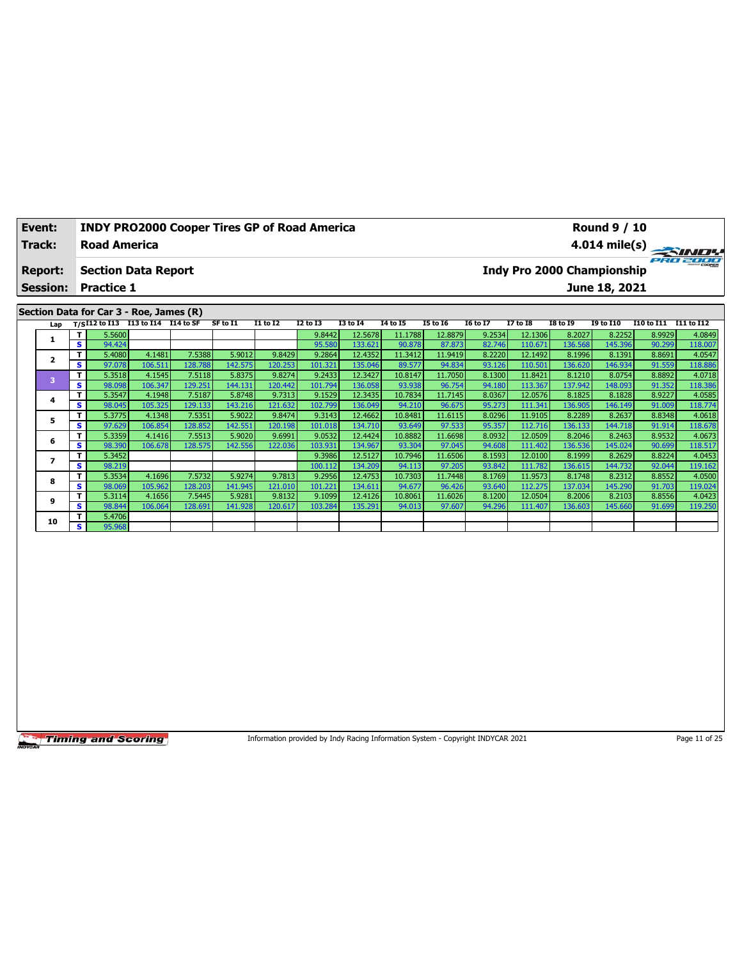| Event:          | <b>INDY PRO2000 Cooper Tires GP of Road America</b>                |  |          |          |                 |          | <b>Round 9 / 10</b>        |                 |                 |                 |                 |               |                   |            |
|-----------------|--------------------------------------------------------------------|--|----------|----------|-----------------|----------|----------------------------|-----------------|-----------------|-----------------|-----------------|---------------|-------------------|------------|
| Track:          | <b>Road America</b>                                                |  |          |          |                 |          |                            |                 |                 |                 |                 |               |                   |            |
| <b>Report:</b>  | <b>Section Data Report</b>                                         |  |          |          |                 |          | Indy Pro 2000 Championship |                 |                 |                 |                 |               | ero 2000          |            |
| <b>Session:</b> | <b>Practice 1</b>                                                  |  |          |          |                 |          |                            |                 |                 |                 |                 | June 18, 2021 |                   |            |
|                 |                                                                    |  |          |          |                 |          |                            |                 |                 |                 |                 |               |                   |            |
|                 | Section Data for Car 3 - Roe, James (R)                            |  |          |          |                 |          |                            |                 |                 |                 |                 |               |                   |            |
|                 | Lap $T/SI12$ to I13 $\overline{I13}$ to I14 $\overline{I14}$ to SF |  | SF to I1 | I1 to I2 | <b>I2 to I3</b> | 13 to 14 | 14 to 15                   | <b>I5 to 16</b> | <b>16 to 17</b> | <b>I7 to I8</b> | <b>I8 to 19</b> | 19 to 110     | <b>I10 to I11</b> | I11 to I12 |

| Lap |    | 175.12 w 113 |         |         | .       |         | w.u     |         | .       | 13 W 19 | 20 W 27 | ., w.u  | 20 W 29 | 23 W 22V |        |         |
|-----|----|--------------|---------|---------|---------|---------|---------|---------|---------|---------|---------|---------|---------|----------|--------|---------|
|     | т  | 5.5600       |         |         |         |         | 9.8442  | 12.5678 | 11.1788 | 12.8879 | 9.2534  | 12.1306 | 8.2027  | 8.2252   | 8.9929 | 4.0849  |
|     | s  | 94.424       |         |         |         |         | 95.580  | 133.621 | 90.878  | 87.873  | 82.746  | 110.671 | 136.568 | 145.396  | 90.299 | 118.007 |
|     | т  | 5.4080       | 4.1481  | 7.5388  | 5.9012  | 9.8429  | 9.2864  | 12.4352 | 11.3412 | 11.9419 | 8.2220  | 12.1492 | 8.1996  | 8.1391   | 8.8691 | 4.0547  |
|     | s  | 97.078       | 106.511 | 128.788 | 142.575 | 120.253 | 101.321 | 135.046 | 89.577  | 94.834  | 93.126  | 110.501 | 136.620 | 146.934  | 91.559 | 118.886 |
| в   | т  | 5.3518       | 4.1545  | 7.5118  | 5.8375  | 9.8274  | 9.2433  | 12.3427 | 10.8147 | 11.7050 | 8.1300  | 11.8421 | 8.1210  | 8.0754   | 8.8892 | 4.0718  |
|     | s  | 98.098       | 106.347 | 129.251 | 144.131 | 120.442 | 101.794 | 136.058 | 93.938  | 96.754  | 94.180  | 113.367 | 137.942 | 148.093  | 91.352 | 118.386 |
| 4   | т  | 5.3547       | 4.1948  | 7.5187  | 5.8748  | 9.7313  | 9.1529  | 12.3435 | 10.7834 | 11.7145 | 8.0367  | 12.0576 | 8.1825  | 8.1828   | 8.9227 | 4.0585  |
|     | s  | 98.045       | 105.325 | 129.133 | 143.216 | 121.632 | 102.799 | 136.049 | 94.210  | 96.675  | 95.273  | 111.341 | 136.905 | 146.149  | 91.009 | 118.774 |
| 5   | т  | 5.3775       | 4.1348  | 7.5351  | 5.9022  | 9.8474  | 9.3143  | 12.4662 | 10.8481 | 11.6115 | 8.0296  | 11.9105 | 8.2289  | 8.2637   | 8.8348 | 4.0618  |
|     | s  | 97.629       | 106.854 | 128.852 | 142.551 | 120.198 | 101.018 | 134.710 | 93.649  | 97.533  | 95.357  | 112.716 | 136.133 | 144.718  | 91.914 | 118.678 |
| 6   | т  | 5.3359       | 4.1416  | 7.5513  | 5.9020  | 9.6991  | 9.0532  | 12.4424 | 10.8882 | 11.6698 | 8.0932  | 12.0509 | 8.2046  | 8.2463   | 8.9532 | 4.0673  |
|     | s  | 98.390       | 106.678 | 128.575 | 142.556 | 122.036 | 103.931 | 134.967 | 93.304  | 97.045  | 94.608  | 111.402 | 136.536 | 145.024  | 90.699 | 118.517 |
|     | т  | 5.3452       |         |         |         |         | 9.3986  | 12.5127 | 10.7946 | 11.6506 | 8.1593  | 12.0100 | 8.1999  | 8.2629   | 8.8224 | 4.0453  |
|     | s  | 98.219       |         |         |         |         | 100.112 | 134.209 | 94.113  | 97.205  | 93.842  | 111.782 | 136.615 | 144.732  | 92.044 | 119.162 |
| 8   | т  | 5.3534       | 4.1696  | 7.5732  | 5.9274  | 9.7813  | 9.2956  | 12.4753 | 10.7303 | 11.7448 | 8.1769  | 11.9573 | 8.1748  | 8.2312   | 8.8552 | 4.0500  |
|     | s  | 98.069       | 105.962 | 128.203 | 141.945 | 121.010 | 101.221 | 134.611 | 94.677  | 96.426  | 93.640  | 112.275 | 137.034 | 145.290  | 91.703 | 119.024 |
| 9   | т  | 5.3114       | 4.1656  | 7.5445  | 5.9281  | 9.8132  | 9.1099  | 12.4126 | 10.8061 | 11.6026 | 8.1200  | 12.0504 | 8.2006  | 8.2103   | 8.8556 | 4.0423  |
|     | s  | 98.844       | 106.064 | 128.691 | 141.928 | 120.617 | 103.284 | 135.291 | 94.013  | 97.607  | 94.296  | 111.407 | 136.603 | 145.660  | 91.699 | 119.250 |
| 10  | т  | 5.4706       |         |         |         |         |         |         |         |         |         |         |         |          |        |         |
|     | s. | 95.968       |         |         |         |         |         |         |         |         |         |         |         |          |        |         |

Information provided by Indy Racing Information System - Copyright INDYCAR 2021 Page 11 of 25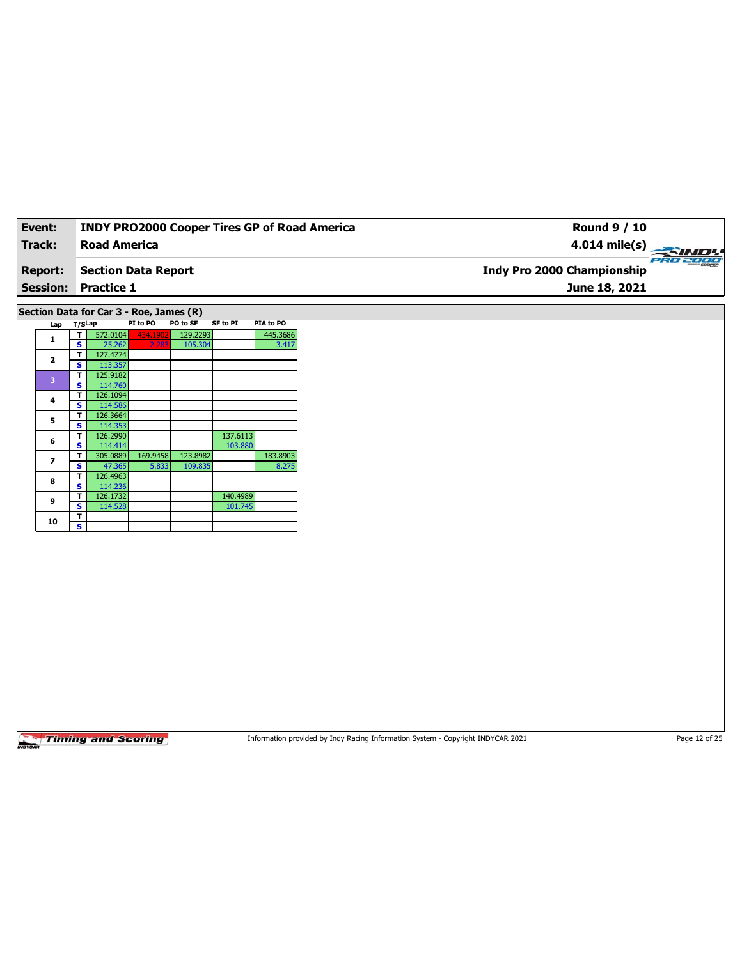| Event:                            | <b>INDY PRO2000 Cooper Tires GP of Road America</b> | <b>Round 9 / 10</b>                                |           |
|-----------------------------------|-----------------------------------------------------|----------------------------------------------------|-----------|
| Track:                            | Road America                                        |                                                    |           |
| <b>Report:</b><br><b>Session:</b> | Section Data Report<br><b>Practice 1</b>            | <b>Indy Pro 2000 Championship</b><br>June 18, 2021 | PRO 2000* |
|                                   |                                                     |                                                    |           |

**Section Data for Car 3 - Roe, James (R)**

|  | Lap            | $T/S$ ap |          | PI to PO | PO to SF | SF to PI | PIA to PO |  |
|--|----------------|----------|----------|----------|----------|----------|-----------|--|
|  | 1              | т        | 572.0104 | 434.1902 | 129.2293 |          | 445.3686  |  |
|  |                | s        | 25.262   | 2.283    | 105.304  |          | 3.417     |  |
|  | $\overline{2}$ | т        | 127.4774 |          |          |          |           |  |
|  |                | s        | 113.357  |          |          |          |           |  |
|  | 3              | т        | 125.9182 |          |          |          |           |  |
|  |                | S        | 114.760  |          |          |          |           |  |
|  | 4              | т        | 126.1094 |          |          |          |           |  |
|  |                | s        | 114.586  |          |          |          |           |  |
|  | 5              | т        | 126.3664 |          |          |          |           |  |
|  |                | s        | 114.353  |          |          |          |           |  |
|  | 6              | т        | 126.2990 |          |          | 137.6113 |           |  |
|  |                | s        | 114.414  |          |          | 103.880  |           |  |
|  | 7              | т        | 305.0889 | 169.9458 | 123.8982 |          | 183.8903  |  |
|  |                | s        | 47.365   | 5.833    | 109.835  |          | 8.275     |  |
|  | 8              | т        | 126.4963 |          |          |          |           |  |
|  |                | s        | 114.236  |          |          |          |           |  |
|  | 9              | т        | 126.1732 |          |          | 140.4989 |           |  |
|  |                | S        | 114.528  |          |          | 101.745  |           |  |
|  |                | т        |          |          |          |          |           |  |
|  | 10             | s        |          |          |          |          |           |  |

**Timing and Scoring** 

Information provided by Indy Racing Information System - Copyright INDYCAR 2021 Page 12 of 25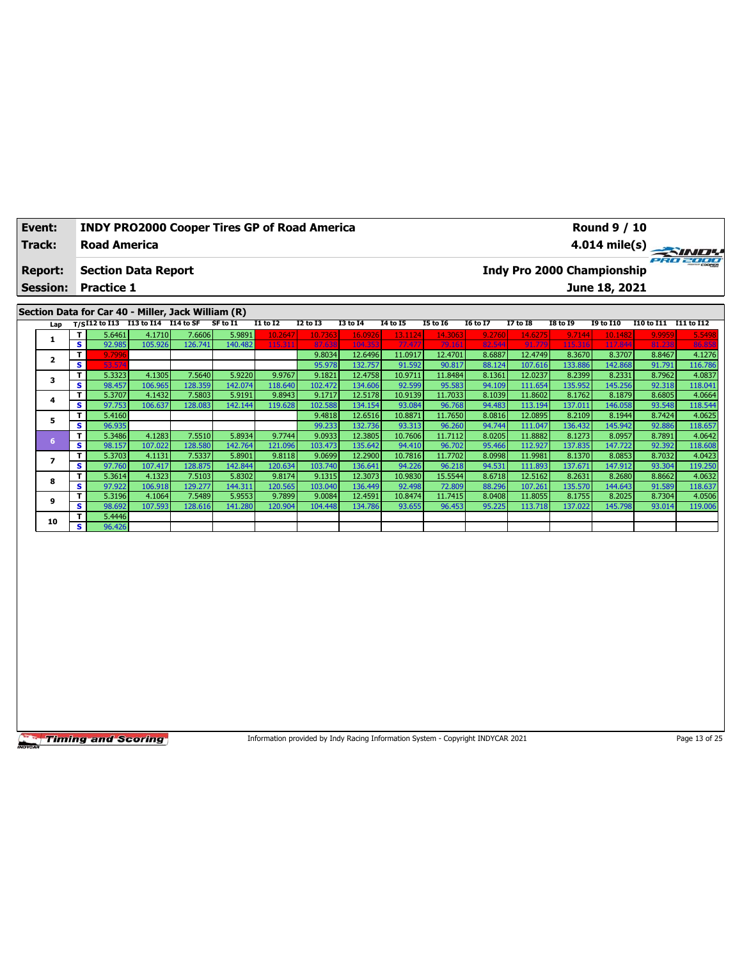| Event:          | <b>INDY PRO2000 Cooper Tires GP of Road America</b>                                                                                                                                                    | <b>Round 9 / 10</b>                                                                                                                                                                                                                                           |
|-----------------|--------------------------------------------------------------------------------------------------------------------------------------------------------------------------------------------------------|---------------------------------------------------------------------------------------------------------------------------------------------------------------------------------------------------------------------------------------------------------------|
| Track:          | <b>Road America</b>                                                                                                                                                                                    | 4.014 mile(s) $\frac{1}{\sqrt{2}}$                                                                                                                                                                                                                            |
| <b>Report:</b>  | <b>Section Data Report</b>                                                                                                                                                                             | PRO 2000<br>Indy Pro 2000 Championship                                                                                                                                                                                                                        |
| <b>Session:</b> | <b>Practice 1</b>                                                                                                                                                                                      | June 18, 2021                                                                                                                                                                                                                                                 |
|                 | Section Data for Car 40 - Miller, Jack William (R)                                                                                                                                                     |                                                                                                                                                                                                                                                               |
|                 | Lap T/SI12 to I13 I13 to I14 I14 to SF SF to I1<br>I1 to I2<br><b>I4 to I5</b><br><b>I2 to I3</b><br><b>I3 to I4</b><br>56461<br>$41710$ $7606$<br>T.<br>5001<br>$10.2647$ $10.7363$<br>$\sim$ 16.0026 | <b>I8 to 19</b><br><b>I5 to 16</b><br><b>I6 to I7</b><br><b>I7 to I8</b><br><b>I9 to I10</b><br>I10 to I11<br>I11 to I12<br>$-12, 1124$ $-14, 2062$<br>$\overline{0}$ 2760 $\overline{1}$<br>14.6275<br>10,1482<br><b>E 5409</b><br>$Q$ 7144<br><b>COOSOL</b> |

|    |    | 5.6461 | 4.1710  | 7.6606 l | 5.9891  | 10.2647 | 10.7363 | 16.0926 | 13.1124 | 14.3063 | 9.2760 | 14.6275 | 9.7144  | 10.1482 | 9.9959 | 5.5498  |
|----|----|--------|---------|----------|---------|---------|---------|---------|---------|---------|--------|---------|---------|---------|--------|---------|
|    | s. | 92.985 | 105.926 | 126.741  | 140.482 | 115.31  | 87.638  | 104.353 | 77.477  | 79.16:  | 82.544 | 91.779  | 115.316 | 117.844 | 81.238 | 86.858  |
|    |    | 9.7996 |         |          |         |         | 9.8034  | 12.6496 | 11.0917 | 12.4701 | 8.6887 | 12.4749 | 8.3670  | 8.3707  | 8.8467 | 4.1276  |
|    | s  | 53.574 |         |          |         |         | 95.978  | 132.757 | 91.592  | 90.817  | 88.124 | 107.616 | 133.886 | 142.868 | 91.791 | 116.786 |
|    |    | 5.3323 | 4.1305  | 7.5640   | 5.9220  | 9.9767  | 9.1821  | 12.4758 | 10.9711 | 11.8484 | 8.1361 | 12.0237 | 8.2399  | 8.2331  | 8.7962 | 4.0837  |
|    | s. | 98.457 | 106.965 | 128.359  | 142.074 | 118.640 | 102.472 | 134.606 | 92.599  | 95.583  | 94.109 | 111.654 | 135.952 | 145.256 | 92.318 | 118.041 |
|    |    | 5.3707 | 4.1432  | 7.5803   | 5.9191  | 9.8943  | 9.1717  | 12.5178 | 10.9139 | 11.7033 | 8.1039 | 11.8602 | 8.1762  | 8.1879  | 8.6805 | 4.0664  |
|    | s. | 97.753 | 106.637 | 128.083  | 142.144 | 119.628 | 102.588 | 134.154 | 93.084  | 96.768  | 94.483 | 113.194 | 137.011 | 146.058 | 93.548 | 118.544 |
|    |    | 5.4160 |         |          |         |         | 9.4818  | 12.6516 | 10.8871 | 11.7650 | 8.0816 | 12.0895 | 8.2109  | 8.1944  | 8.7424 | 4.0625  |
|    | s. | 96.935 |         |          |         |         | 99.233  | 132.736 | 93.313  | 96.260  | 94.744 | 111.047 | 136.432 | 145.942 | 92.886 | 118.657 |
|    |    | 5.3486 | 4.1283  | 7.5510   | 5.8934  | 9.7744  | 9.0933  | 12.3805 | 10.7606 | 11.7112 | 8.0205 | 11.8882 | 8.1273  | 8.0957  | 8.7891 | 4.0642  |
|    | s. | 98.157 | 107.022 | 128.580  | 142.764 | 121.096 | 103.473 | 135.642 | 94.410  | 96.702  | 95.466 | 112.927 | 137.835 | 147.722 | 92.392 | 118.608 |
|    |    | 5.3703 | 4.1131  | 7.5337   | 5.8901  | 9.8118  | 9.0699  | 12.2900 | 10.7816 | 11.7702 | 8.0998 | 11.9981 | 8.1370  | 8.0853  | 8.7032 | 4.0423  |
|    | s  | 97.760 | 107.417 | 128.875  | 142.844 | 120.634 | 103.740 | 136.641 | 94.226  | 96.218  | 94.531 | 111.893 | 137.671 | 147.912 | 93.304 | 119.250 |
|    |    | 5.3614 | 4.1323  | 7.5103   | 5.8302  | 9.8174  | 9.1315  | 12.3073 | 10.9830 | 15.5544 | 8.6718 | 12.5162 | 8.2631  | 8.2680  | 8.8662 | 4.0632  |
|    | s. | 97.922 | 106.918 | 129.277  | 144.311 | 120.565 | 103.040 | 136.449 | 92.498  | 72.809  | 88.296 | 107.261 | 135.570 | 144.643 | 91.589 | 118.637 |
|    |    | 5.3196 | 4.1064  | 7.5489   | 5.9553  | 9.7899  | 9.0084  | 12.4591 | 10.8474 | 11.7415 | 8.0408 | 11.8055 | 8.1755  | 8.2025  | 8.7304 | 4.0506  |
|    | s. | 98.692 | 107.593 | 128.616  | 141.280 | 120.904 | 104.448 | 134.786 | 93.655  | 96.453  | 95.225 | 113.718 | 137.022 | 145.798 | 93.014 | 119.006 |
| 10 |    | 5.4446 |         |          |         |         |         |         |         |         |        |         |         |         |        |         |
|    | s. | 96.426 |         |          |         |         |         |         |         |         |        |         |         |         |        |         |

Information provided by Indy Racing Information System - Copyright INDYCAR 2021 Page 13 of 25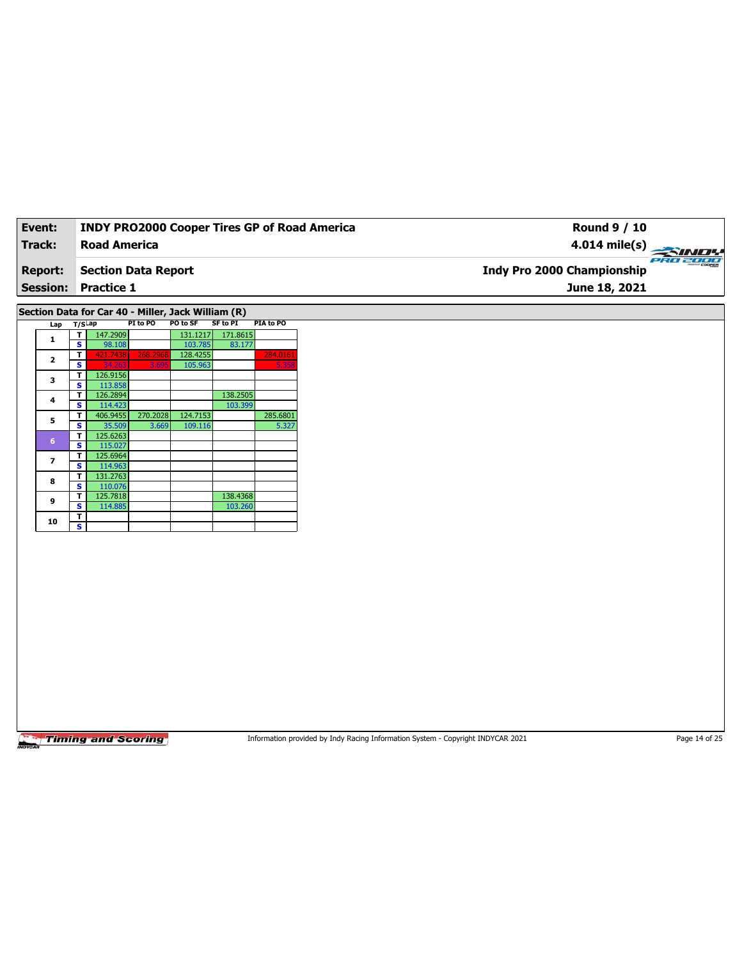| Event:         | <b>INDY PRO2000 Cooper Tires GP of Road America</b>                                   | Round 9 / 10                           |
|----------------|---------------------------------------------------------------------------------------|----------------------------------------|
| Track:         | <b>Road America</b>                                                                   | $4.014 \text{ mile(s)}$                |
| <b>Report:</b> | <b>Section Data Report</b>                                                            | PRO 2000<br>Indy Pro 2000 Championship |
|                | <b>Session: Practice 1</b>                                                            | June 18, 2021                          |
|                |                                                                                       |                                        |
|                | Section Data for Car 40 - Miller, Jack William (R)                                    |                                        |
|                | SF to PI<br>PI to PO<br><b>PO to SF</b><br><b>PIA to PO</b><br>Lap T/S <sup>Lap</sup> |                                        |

| <br>.                                                        |          |          |          |          |          |
|--------------------------------------------------------------|----------|----------|----------|----------|----------|
| т                                                            | 147.2909 |          | 131.1217 | 171.8615 |          |
| S                                                            | 98.108   |          | 103.785  | 83.177   |          |
| т                                                            | 421.7438 | 268.2968 | 128.4255 |          | 284.0161 |
| s                                                            | 34.263   | 3.695    | 105.963  |          | 5.358    |
| т                                                            | 126.9156 |          |          |          |          |
| s                                                            | 113.858  |          |          |          |          |
| т                                                            | 126.2894 |          |          | 138.2505 |          |
| s                                                            | 114.423  |          |          | 103.399  |          |
| т                                                            | 406.9455 | 270.2028 | 124.7153 |          | 285.6801 |
| S                                                            | 35.509   | 3.669    | 109.116  |          | 5.327    |
| т                                                            | 125.6263 |          |          |          |          |
| s                                                            | 115.027  |          |          |          |          |
| т                                                            | 125.6964 |          |          |          |          |
| s                                                            | 114.963  |          |          |          |          |
| т                                                            | 131.2763 |          |          |          |          |
| S                                                            | 110.076  |          |          |          |          |
| т                                                            | 125.7818 |          |          | 138.4368 |          |
| s                                                            | 114.885  |          |          | 103.260  |          |
| т                                                            |          |          |          |          |          |
| s                                                            |          |          |          |          |          |
| 1<br>$\overline{2}$<br>3<br>4<br>5<br>6<br>7<br>8<br>9<br>10 |          |          |          |          |          |

Information provided by Indy Racing Information System - Copyright INDYCAR 2021 Page 14 of 25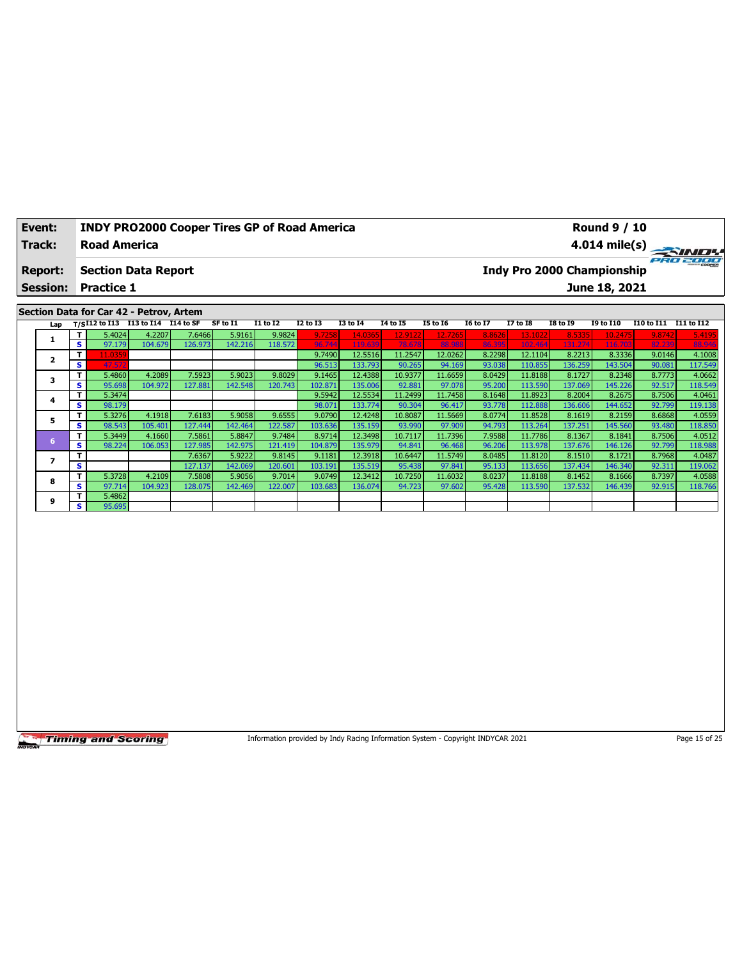| Event:          | <b>INDY PRO2000 Cooper Tires GP of Road America</b> | <b>Round 9 / 10</b>               |          |
|-----------------|-----------------------------------------------------|-----------------------------------|----------|
| Track:          | <b>Road America</b>                                 |                                   |          |
| <b>Report:</b>  | <b>Section Data Report</b>                          | <b>Indy Pro 2000 Championship</b> | ero zooo |
| <b>Session:</b> | <b>Practice 1</b>                                   | June 18, 2021                     |          |
|                 | Section Data for Car 42 - Petroy Artem              |                                   |          |

## **Section Data for Car 42 - Petrov, Artem**

| Lap |    |        | $T/SI12$ to I13 I13 to I14 | I14 to SF | SF to I1 | <b>I1 to I2</b> | I2 to I3 | <b>I3 to 14</b> | 14 to 15 | <b>I5 to 16</b> | 16 to 17 | <b>I7 to I8</b> | <b>I8 to 19</b> | <b>I9 to I10</b> | I10 to I11 | I11 to I12 |
|-----|----|--------|----------------------------|-----------|----------|-----------------|----------|-----------------|----------|-----------------|----------|-----------------|-----------------|------------------|------------|------------|
|     |    | 5.4024 | 4.2207                     | 7.6466    | 5.9161   | 9.9824          | 9.7258   | 14.0365         | 12.9122  | 12.7265         | 8.8626   | 13.1022         | 8.5335          | 10.2475          | 9.8742     | 5.4195     |
|     | s. | 97.179 | 104.679                    | 126.973   | 142.216  | 118.572         | 96.744   | 119.639         | 78.678   | 88.98           | 86.395   | 102.464         | 131.274         | 116,703          | 82.239     | 88.946     |
|     |    | 1.0359 |                            |           |          |                 | 9.7490   | 12.5516         | 11.2547  | 12.0262         | 8.2298   | 12.1104         | 8.2213          | 8.3336           | 9.0146     | 4.1008     |
|     | s  | 47.572 |                            |           |          |                 | 96.513   | 133.793         | 90.265   | 94.169          | 93.038   | 110.855         | 136.259         | 143.504          | 90.081     | 117.549    |
|     |    | 5.4860 | 4.2089                     | 7.5923    | 5.9023   | 9.8029          | 9.1465   | 12.4388         | 10.9377  | 11.6659         | 8.0429   | 11.81881        | 8.1727          | 8.2348           | 8.7773     | 4.0662     |
|     | s  | 95.698 | 104.972                    | 127.881   | 142.548  | 120.743         | 102.871  | 135.006         | 92.881   | 97.078          | 95.200   | 113.590         | 137.069         | 145.226          | 92.517     | 118.549    |
|     |    | 5.3474 |                            |           |          |                 | 9.5942   | 12.5534         | 11.2499  | 11.7458         | 8.1648   | 11.8923         | 8.2004          | 8.2675           | 8.7506     | 4.0461     |
|     | s  | 98.179 |                            |           |          |                 | 98.071   | 133.774         | 90.304   | 96.417          | 93.778   | 112.888         | 136.606         | 144.652          | 92.799     | 119.138    |
| 5   |    | 5.3276 | 4.1918                     | 7.6183    | 5.9058   | 9.6555          | 9.0790   | 12.4248         | 10.8087  | 11.5669         | 8.0774   | 11.8528         | 8.1619          | 8.2159           | 8.6868     | 4.0559     |
|     | s. | 98.543 | 105.401                    | 127.444   | 142.464  | 122.587         | 103.636  | 135.159         | 93.990   | 97.909          | 94.793   | 113.264         | 137.251         | 145.560          | 93.480     | 118.850    |
| 6   |    | 5.3449 | 4.1660                     | 7.5861    | 5.8847   | 9.7484          | 8.9714   | 12.3498         | 10.7117  | 11.7396         | 7.9588   | 11.7786         | 8.1367          | 8.1841           | 8.7506     | 4.0512     |
|     | s  | 98.224 | 106.053                    | 127.985   | 142.975  | 121.419         | 104.879  | 135.979         | 94.841   | 96.468          | 96.206   | 113.978         | 137.676         | 146.126          | 92.799     | 118.988    |
|     |    |        |                            | 7.6367    | 5.9222   | 9.8145          | 9.1181   | 12.3918         | 10.6447  | 11.5749         | 8.0485   | 11.8120         | 8.1510          | 8.1721           | 8.7968     | 4.0487     |
|     | s  |        |                            | 127.137   | 142.069  | 120.601         | 103.191  | 135.519         | 95.438   | 97.841          | 95.133   | 113.656         | 137.434         | 146.340          | 92.311     | 119.062    |
| 8   |    | 5.3728 | 4.2109                     | 7.5808    | 5.9056   | 9.7014          | 9.0749   | 12.3412         | 10.7250  | 11.6032         | 8.0237   | 11.81881        | 8.1452          | 8.1666           | 8.7397     | 4.0588     |
|     | s  | 97.714 | 104.923                    | 128.075   | 142.469  | 122.007         | 103.683  | 136.074         | 94.723   | 97.602          | 95.428   | 113.590         | 137.532         | 146.439          | 92.915     | 118.766    |
| 9   |    | 5.4862 |                            |           |          |                 |          |                 |          |                 |          |                 |                 |                  |            |            |
|     | s. | 95.695 |                            |           |          |                 |          |                 |          |                 |          |                 |                 |                  |            |            |

**Timing and Scoring** 

Information provided by Indy Racing Information System - Copyright INDYCAR 2021 Page 15 of 25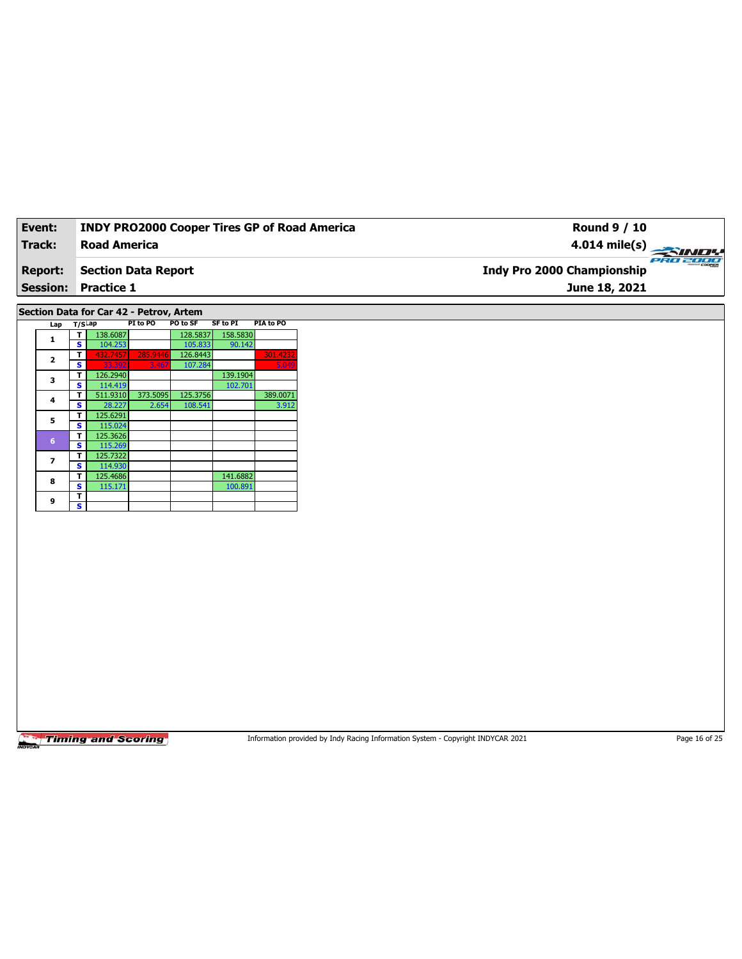| Event:          | <b>INDY PRO2000 Cooper Tires GP of Road America</b> | Round 9 / 10                                  |
|-----------------|-----------------------------------------------------|-----------------------------------------------|
| Track:          | <b>Road America</b>                                 | $4.014 \text{ mile(s)}$                       |
| <b>Report:</b>  | Section Data Report                                 | ero zooo<br><b>Indy Pro 2000 Championship</b> |
| <b>Session:</b> | <b>Practice 1</b>                                   | June 18, 2021                                 |
|                 |                                                     |                                               |

## **Section Data for Car 42 - Petrov, Artem**

| Lap                     | $T/S$ Lap |          | PI to PO | PO to SF | SF to PI | PIA to PO |
|-------------------------|-----------|----------|----------|----------|----------|-----------|
| 1                       | т         | 138.6087 |          | 128.5837 | 158.5830 |           |
|                         | s         | 104.253  |          | 105.833  | 90.142   |           |
| $\overline{\mathbf{2}}$ | т         | 432.7457 | 285.9446 | 126.8443 |          | 301.4232  |
|                         | s         | 33.392   | 3.467    | 107.284  |          | 5.049     |
| 3                       | т         | 126.2940 |          |          | 139.1904 |           |
|                         | s         | 114.419  |          |          | 102.701  |           |
| 4                       | т         | 511.9310 | 373.5095 | 125.3756 |          | 389.0071  |
|                         | s         | 28.227   | 2.654    | 108.541  |          | 3.912     |
| 5                       | т         | 125.6291 |          |          |          |           |
|                         | s         | 115.024  |          |          |          |           |
| $6\phantom{a}$          | т         | 125.3626 |          |          |          |           |
|                         | s         | 115.269  |          |          |          |           |
| 7                       | т         | 125.7322 |          |          |          |           |
|                         | s         | 114.930  |          |          |          |           |
| 8                       | т         | 125.4686 |          |          | 141.6882 |           |
|                         | s         | 115.171  |          |          | 100.891  |           |
| 9                       | т         |          |          |          |          |           |
|                         | s         |          |          |          |          |           |

**Timing and Scoring** 

Information provided by Indy Racing Information System - Copyright INDYCAR 2021 Page 16 of 25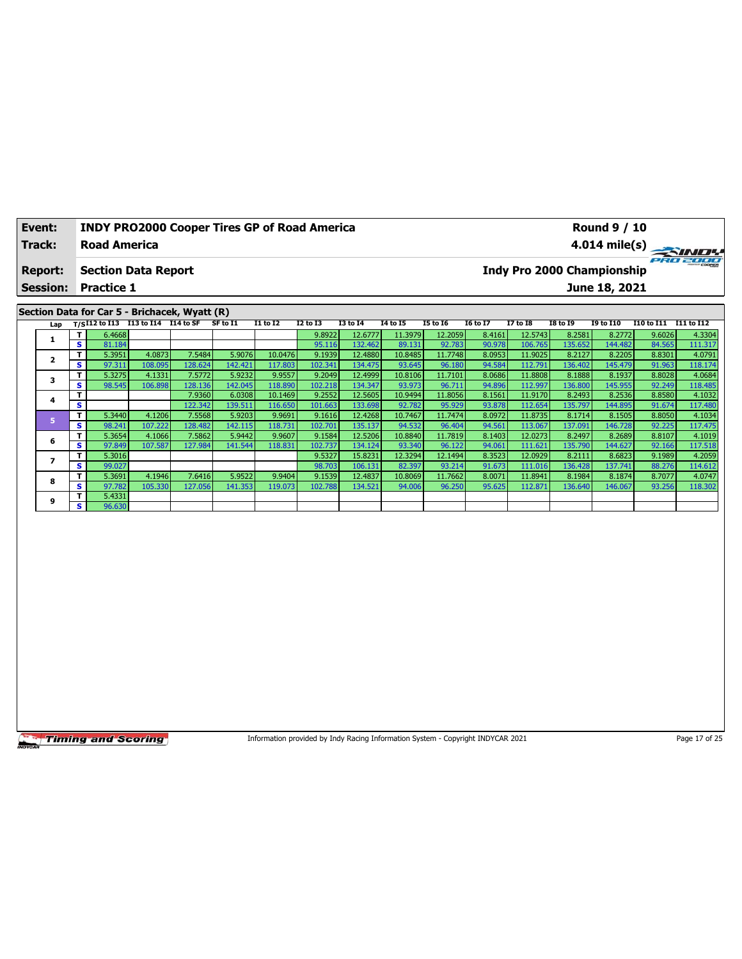| Event:         | <b>INDY PRO2000 Cooper Tires GP of Road America</b> |  |  |                                   | <b>Round 9 / 10</b> |                         |
|----------------|-----------------------------------------------------|--|--|-----------------------------------|---------------------|-------------------------|
| Track:         | <b>Road America</b>                                 |  |  |                                   |                     | $4.014 \text{ mile(s)}$ |
| <b>Report:</b> | <b>Section Data Report</b>                          |  |  | <b>Indy Pro 2000 Championship</b> |                     | PRO 2000                |
|                | <b>Session: Practice 1</b>                          |  |  |                                   | June 18, 2021       |                         |
|                |                                                     |  |  |                                   |                     |                         |
|                | Section Data for Car 5 - Brichacek, Wyatt (R)       |  |  |                                   |                     |                         |
|                |                                                     |  |  |                                   |                     |                         |

| Lap |     |        | $T/SI12$ to I13 I13 to I14 I14 to SF |         | SF to I1 | <b>I1 to I2</b> | <b>I2 to I3</b> | <b>I3 to 14</b> | 14 to 15 | <b>I5 to 16</b> | <b>16 to 17</b> | <b>I7 to I8</b> | <b>I8 to 19</b> | <b>I9 to I10</b> | I10 to I11 | I11 to I12 |
|-----|-----|--------|--------------------------------------|---------|----------|-----------------|-----------------|-----------------|----------|-----------------|-----------------|-----------------|-----------------|------------------|------------|------------|
|     | T.  | 6.4668 |                                      |         |          |                 | 9.8922          | 12.6777         | 11.3979  | 12.2059         | 8.4161          | 12.5743         | 8.2581          | 8.2772           | 9.6026     | 4.3304     |
|     | s.  | 81.184 |                                      |         |          |                 | 95.116          | 132.462         | 89.131   | 92.783          | 90.978          | 106.765         | 135.652         | 144.482          | 84.565     | 111.317    |
|     | T.  | 5.3951 | 4.0873                               | 7.5484  | 5.9076   | 10.0476         | 9.1939          | 12.4880         | 10.8485  | 11.7748         | 8.0953          | 11.9025         | 8.2127          | 8.2205           | 8.8301     | 4.0791     |
|     | s.  | 97.311 | 108.095                              | 128.624 | 142.421  | 117.803         | 102.341         | 134.475         | 93.645   | 96.180          | 94.584          | 112.791         | 136.402         | 145.479          | 91.963     | 118.174    |
|     | Τ.  | 5.3275 | 4.1331                               | 7.5772  | 5.9232   | 9.9557          | 9.2049          | 12.4999         | 10.8106  | 11.7101         | 8.0686          | 11.8808         | 8.1888          | 8.1937           | 8.8028     | 4.0684     |
|     | s l | 98.545 | 106.898                              | 128.136 | 142.045  | 118.890         | 102.218         | 134.347         | 93.973   | 96.711          | 94.896          | 112.997         | 136.800         | 145.955          | 92.249     | 118.485    |
| 4   |     |        |                                      | 7.9360  | 6.0308   | 10.1469         | 9.2552          | 12.5605         | 10.9494  | 11.8056         | 8.1561          | 11.9170         | 8.2493          | 8.2536           | 8.8580     | 4.1032     |
|     | s   |        |                                      | 122.342 | 139.511  | 116.650         | 101.663         | 133.698         | 92.782   | 95.929          | 93.878          | 112.654         | 135.797         | 144.895          | 91.674     | 117.480    |
|     | T.  | 5.3440 | 4.1206                               | 7.5568  | 5.9203   | 9.9691          | 9.1616          | 12.4268         | 10.7467  | 11.7474         | 8.0972          | 11.8735         | 8.1714          | 8.1505           | 8.8050     | 4.1034     |
|     | s.  | 98.241 | 107.222                              | 128.482 | 142.115  | 118.731         | 102.701         | 135.137         | 94.532   | 96.404          | 94.561          | 113.067         | 137.091         | 146.728          | 92.225     | 117.475    |
| 6   | T.  | 5.3654 | 4.1066                               | 7.5862  | 5.9442   | 9.9607          | 9.1584          | 12.5206         | 10.8840  | 11.7819         | 8.1403          | 12.0273         | 8.2497          | 8.2689           | 8.8107     | 4.1019     |
|     | s.  | 97.849 | 107.587                              | 127.984 | 141.544  | 118.831         | 102.737         | 134.124         | 93.340   | 96.122          | 94.061          | 111.621         | 135.790         | 144.627          | 92.166     | 117.518    |
|     | т   | 5.3016 |                                      |         |          |                 | 9.5327          | 15.8231         | 12.3294  | 12.1494         | 8.3523          | 12.0929         | 8.2111          | 8.6823           | 9.1989     | 4.2059     |
|     | s.  | 99.027 |                                      |         |          |                 | 98.703          | 106.131         | 82.397   | 93.214          | 91.673          | 111.016         | 136.428         | 137.741          | 88.276     | 114.612    |
| 8   | Τ.  | 5.3691 | 4.1946                               | 7.6416  | 5.9522   | 9.9404          | 9.1539          | 12.4837         | 10.8069  | 11.7662         | 8.0071          | 11.8941         | 8.1984          | 8.1874           | 8.7077     | 4.0747     |
|     | s.  | 97.782 | 105.330                              | 127.056 | 141.353  | 119.073         | 102.788         | 134.521         | 94.006   | 96.250          | 95.625          | 112.871         | 136.640         | 146.067          | 93.256     | 118.302    |
| 9   | т.  | 5.4331 |                                      |         |          |                 |                 |                 |          |                 |                 |                 |                 |                  |            |            |
|     | s l | 96.630 |                                      |         |          |                 |                 |                 |          |                 |                 |                 |                 |                  |            |            |

Information provided by Indy Racing Information System - Copyright INDYCAR 2021 Page 17 of 25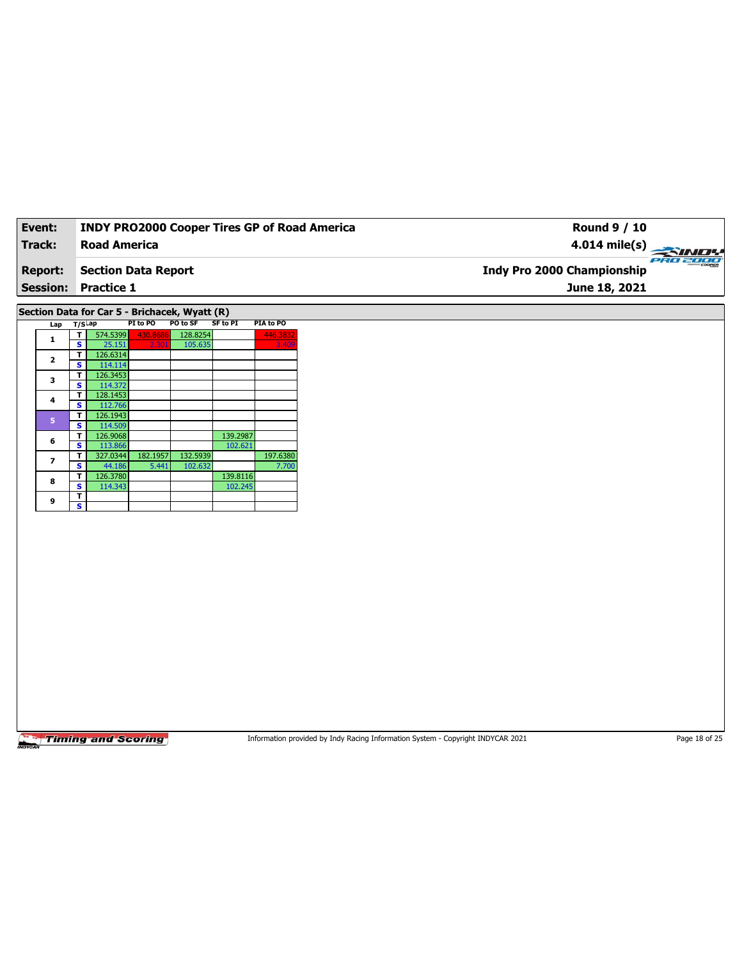| Event:          |    |                                               |          |          |                 |           | <b>INDY PRO2000 Cooper Tires GP of Road America</b><br><b>Round 9 / 10</b> |  |
|-----------------|----|-----------------------------------------------|----------|----------|-----------------|-----------|----------------------------------------------------------------------------|--|
| <b>Track:</b>   |    | <b>Road America</b>                           |          |          |                 |           | 4.014 mile(s)                                                              |  |
| <b>Report:</b>  |    | <b>Section Data Report</b>                    |          |          |                 |           | Indy Pro 2000 Championship                                                 |  |
| <b>Session:</b> |    | <b>Practice 1</b>                             |          |          |                 |           | June 18, 2021                                                              |  |
|                 |    | Section Data for Car 5 - Brichacek, Wyatt (R) |          |          |                 |           |                                                                            |  |
| Lap T/SLap      |    |                                               | PI to PO | PO to SF | <b>SF to PI</b> | PIA to PO |                                                                            |  |
|                 | т. | 574.5399                                      | 430.8686 | 128.8254 |                 | 446.3832  |                                                                            |  |
| 1               | s  | 25.151                                        | 2.30     | 105.635  |                 | 3.40      |                                                                            |  |
|                 | т  | 126.6314                                      |          |          |                 |           |                                                                            |  |
| $\mathbf{2}$    | s. | 114.114                                       |          |          |                 |           |                                                                            |  |
|                 |    | 126.3453                                      |          |          |                 |           |                                                                            |  |
| 3               | s  | 114.372                                       |          |          |                 |           |                                                                            |  |
| 4               | т  | 128.1453                                      |          |          |                 |           |                                                                            |  |
|                 | s  | 112.766                                       |          |          |                 |           |                                                                            |  |
| 5               | т  | 126.1943                                      |          |          |                 |           |                                                                            |  |
|                 | s. | 114.509                                       |          |          |                 |           |                                                                            |  |
| 6               | т  | 126.9068                                      |          |          | 139.2987        |           |                                                                            |  |
|                 | s  | 113.866                                       |          |          | 102.621         |           |                                                                            |  |
| $\overline{ }$  | т  | 327.0344                                      | 182.1957 | 132.5939 |                 | 197.6380  |                                                                            |  |
|                 | s  | 44.186                                        | 5.441    | 102.632  |                 | 7.700     |                                                                            |  |
| 8               | т  | 126.3780                                      |          |          | 139.8116        |           |                                                                            |  |
|                 | s  | 114.343                                       |          |          | 102.245         |           |                                                                            |  |
| 9               | T  |                                               |          |          |                 |           |                                                                            |  |
|                 | s. |                                               |          |          |                 |           |                                                                            |  |
|                 |    |                                               |          |          |                 |           |                                                                            |  |
|                 |    |                                               |          |          |                 |           |                                                                            |  |

Information provided by Indy Racing Information System - Copyright INDYCAR 2021 Page 18 of 25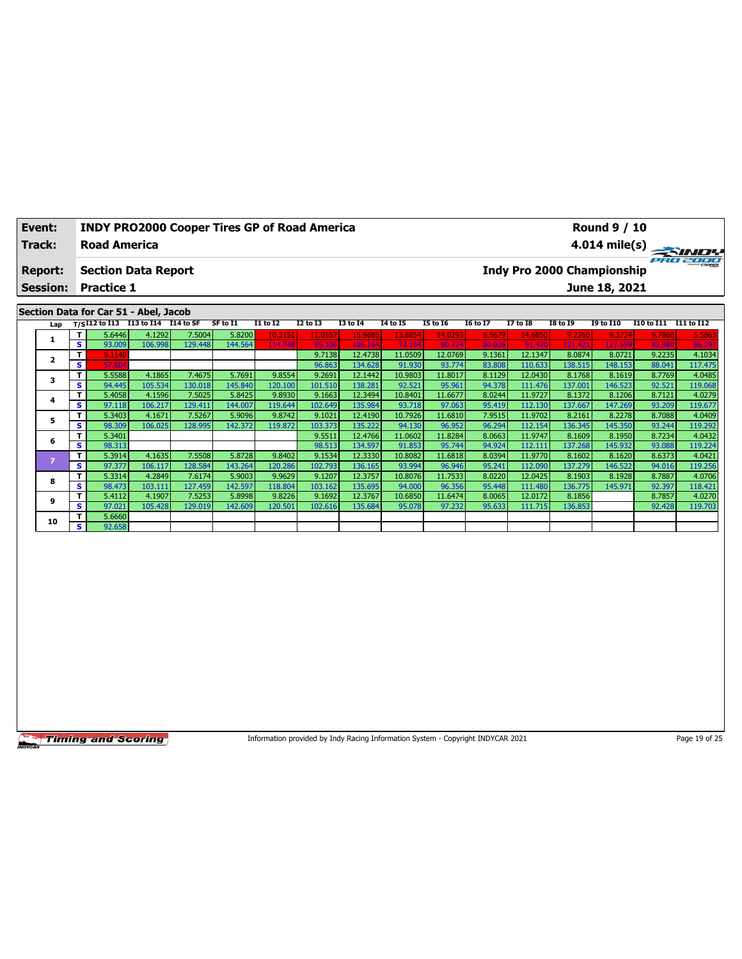| Event:          | <b>INDY PRO2000 Cooper Tires GP of Road America</b> |          |                 |                 |                 |          |                 |          |                 |          | <b>Round 9 / 10</b>               |                   |                 |
|-----------------|-----------------------------------------------------|----------|-----------------|-----------------|-----------------|----------|-----------------|----------|-----------------|----------|-----------------------------------|-------------------|-----------------|
| Track:          | <b>Road America</b>                                 |          |                 |                 |                 |          |                 |          |                 |          |                                   |                   |                 |
| <b>Report:</b>  | <b>Section Data Report</b>                          |          |                 |                 |                 |          |                 |          |                 |          | <b>Indy Pro 2000 Championship</b> |                   | <b>PRO 2000</b> |
| <b>Session:</b> | <b>Practice 1</b>                                   |          |                 |                 |                 |          |                 |          |                 |          | June 18, 2021                     |                   |                 |
|                 |                                                     |          |                 |                 |                 |          |                 |          |                 |          |                                   |                   |                 |
|                 | Section Data for Car 51 - Abel, Jacob               |          |                 |                 |                 |          |                 |          |                 |          |                                   |                   |                 |
| Lap             | T/SI12 to I13 I13 to I14 I14 to SF                  | SF to I1 | <b>I1 to I2</b> | <b>I2 to I3</b> | <b>I3 to I4</b> | 14 to 15 | <b>I5 to 16</b> | 16 to 17 | <b>I7 to I8</b> | I8 to 19 | <b>19 to 110</b>                  | <b>I10 to I11</b> | I11 to I12      |

| Lap                     |   | 175.14 w 115 | *** ~ ~ ** |         | .       |         | <br>    | .       | .       | 13 W 19 | w      | ., w.u  | 10 W 19 | w.c     |        |         |
|-------------------------|---|--------------|------------|---------|---------|---------|---------|---------|---------|---------|--------|---------|---------|---------|--------|---------|
|                         | т | 5.6446       | 4.1292     | 7.5004  | 5.8200  | 10.315: | 11.0557 | 15.9685 | 13.8854 | 14.0293 | 9.5679 | 14.6850 | 9.2260  | 9.3724  | 9.7860 | 5.5863  |
|                         | s | 93.009       | 106.998    | 129.448 | 144.564 | 114.748 | 85.106  | 105.164 | 73.164  | 80.724  | 80.026 | 91.420  | 121.421 | 127.599 | 82.980 | 86.291  |
| $\overline{\mathbf{z}}$ | т | 9.1140       |            |         |         |         | 9.7138  | 12.4738 | 11.0509 | 12.0769 | 9.1361 | 12.1347 | 8.0874  | 8.0721  | 9.2235 | 4.1034  |
|                         | s | 57.604       |            |         |         |         | 96.863  | 134.628 | 91.930  | 93.774  | 83.808 | 110.633 | 138.515 | 148.153 | 88.041 | 117.475 |
| 3                       | т | 5.5588       | 4.1865     | 7.4675  | 5.7691  | 9.8554  | 9.2691  | 12.1442 | 10.9803 | 11.8017 | 8.1129 | 12.0430 | 8.1768  | 8.1619  | 8.7769 | 4.0485  |
|                         | s | 94.445       | 105.534    | 130.018 | 145.840 | 120.100 | 101.510 | 138.281 | 92.521  | 95.961  | 94.378 | 111.476 | 137.001 | 146.523 | 92.521 | 119.068 |
| 4                       | т | 5.4058       | 4.1596     | 7.5025  | 5.8425  | 9.8930  | 9.1663  | 12.3494 | 10.8401 | 11.6677 | 8.0244 | 11.9727 | 8.1372  | 8.1206  | 8.7121 | 4.0279  |
|                         | s | 97.118       | 106.217    | 129.411 | 144.007 | 119.644 | 102.649 | 135.984 | 93.718  | 97.063  | 95.419 | 112.130 | 137.667 | 147.269 | 93.209 | 119.677 |
| 5                       | т | 5.3403       | 4.1671     | 7.5267  | 5.9096  | 9.8742  | 9.1021  | 12.4190 | 10.7926 | 11.6810 | 7.9515 | 11.9702 | 8.2161  | 8.2278  | 8.7088 | 4.0409  |
|                         | s | 98.309       | 106.025    | 128.995 | 142.372 | 119.872 | 103.373 | 135.222 | 94.130  | 96.952  | 96.294 | 112.154 | 136.345 | 145.350 | 93.244 | 119.292 |
| 6                       | т | 5.3401       |            |         |         |         | 9.5511  | 12.4766 | 11.0602 | 11.8284 | 8.0663 | 11.9747 | 8.1609  | 8.1950  | 8.7234 | 4.0432  |
|                         | s | 98.313       |            |         |         |         | 98.513  | 134.597 | 91.853  | 95.744  | 94.924 | 112.111 | 137.268 | 145.932 | 93.088 | 119.224 |
|                         | т | 5.3914       | 4.1635     | 7.5508  | 5.8728  | 9.8402  | 9.1534  | 12.3330 | 10.8082 | 11.6818 | 8.0394 | 11.9770 | 8.1602  | 8.1620  | 8.6373 | 4.0421  |
|                         | s | 97.377       | 106.117    | 128.584 | 143.264 | 120.286 | 102.793 | 136.165 | 93.994  | 96.946  | 95.241 | 112.090 | 137.279 | 146.522 | 94.016 | 119.256 |
| 8                       | т | 5.3314       | 4.2849     | 7.6174  | 5.9003  | 9.9629  | 9.1207  | 12.3757 | 10.8076 | 11.7533 | 8.0220 | 12.0425 | 8.1903  | 8.1928  | 8.7887 | 4.0706  |
|                         | s | 98.473       | 103.111    | 127.459 | 142.597 | 118.804 | 103.162 | 135.695 | 94.000  | 96.356  | 95.448 | 111.480 | 136.775 | 145.971 | 92.397 | 118.421 |
| 9                       |   | 5.4112       | 4.1907     | 7.5253  | 5.8998  | 9.8226  | 9.1692  | 12.3767 | 10.6850 | 11.6474 | 8.0065 | 12.0172 | 8.1856  |         | 8.7857 | 4.0270  |
|                         | s | 97.021       | 105.428    | 129.019 | 142.609 | 120.501 | 102.616 | 135.684 | 95.078  | 97.232  | 95.633 | 111.715 | 136.853 |         | 92.428 | 119.703 |
| 10                      | т | 5.6660       |            |         |         |         |         |         |         |         |        |         |         |         |        |         |
|                         | s | 92.658       |            |         |         |         |         |         |         |         |        |         |         |         |        |         |

Information provided by Indy Racing Information System - Copyright INDYCAR 2021 Page 19 of 25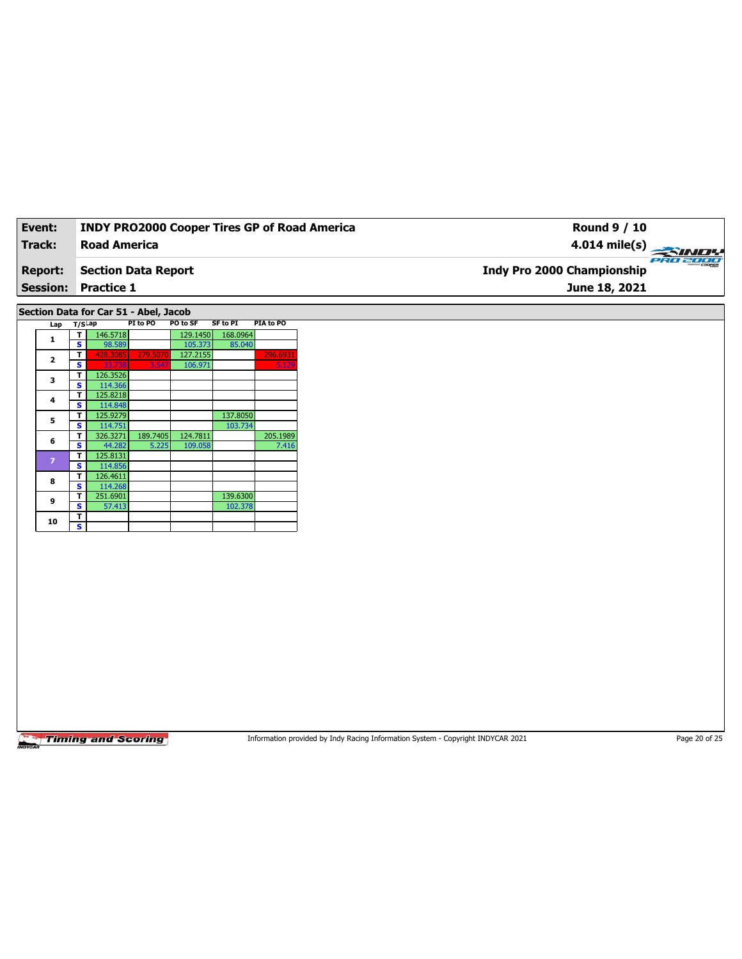| Event:          | <b>INDY PRO2000 Cooper Tires GP of Road America</b> | Round 9 / 10                      |          |
|-----------------|-----------------------------------------------------|-----------------------------------|----------|
| Track:          | <b>Road America</b>                                 | $4.014 \text{ mile(s)}$           |          |
| <b>Report:</b>  | <b>Section Data Report</b>                          | <b>Indy Pro 2000 Championship</b> | eRo 2000 |
| <b>Session:</b> | <b>Practice 1</b>                                   | June 18, 2021                     |          |
|                 |                                                     |                                   |          |

**Section Data for Car 51 - Abel, Jacob**

|  | Lap            | $T/S$ Lap |          | PI to PO | PO to SF | <b>SF to PI</b> | PIA to PO |
|--|----------------|-----------|----------|----------|----------|-----------------|-----------|
|  | 1              | т         | 146.5718 |          | 129.1450 | 168.0964        |           |
|  |                | s         | 98.589   |          | 105.373  | 85.040          |           |
|  | $\overline{2}$ | т         | 428.3085 | 279.5070 | 127.2155 |                 | 296.6931  |
|  |                | s         | 33.738   | 3.547    | 106.971  |                 | 5.129     |
|  |                | т         | 126.3526 |          |          |                 |           |
|  | з              | S         | 114.366  |          |          |                 |           |
|  | 4              | т         | 125.8218 |          |          |                 |           |
|  |                | s         | 114.848  |          |          |                 |           |
|  | 5              | т         | 125.9279 |          |          | 137.8050        |           |
|  |                | s         | 114.751  |          |          | 103.734         |           |
|  | 6              | т         | 326.3271 | 189.7405 | 124.7811 |                 | 205.1989  |
|  |                | Ś         | 44.282   | 5.225    | 109.058  |                 | 7.416     |
|  | $\overline{z}$ | т         | 125.8131 |          |          |                 |           |
|  |                | s         | 114.856  |          |          |                 |           |
|  | 8              | т         | 126.4611 |          |          |                 |           |
|  |                | s         | 114.268  |          |          |                 |           |
|  | 9              | т         | 251.6901 |          |          | 139.6300        |           |
|  |                | s         | 57.413   |          |          | 102.378         |           |
|  | 10             | т         |          |          |          |                 |           |
|  |                | s         |          |          |          |                 |           |

**Timing and Scoring** 

Information provided by Indy Racing Information System - Copyright INDYCAR 2021 Page 20 of 25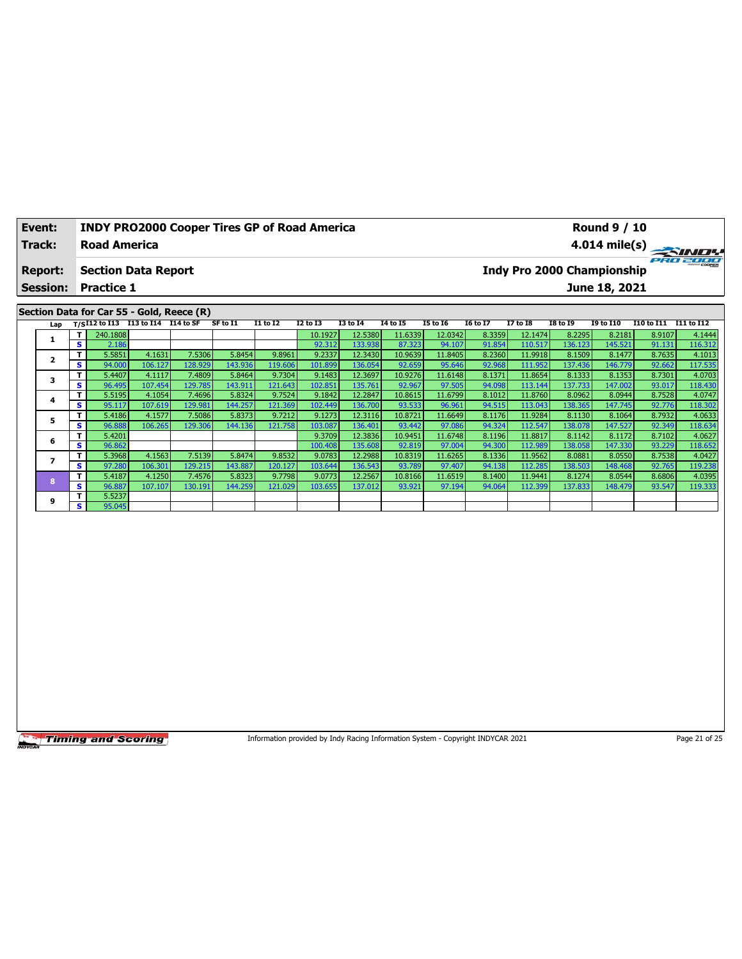| Event:                                       | <b>INDY PRO2000 Cooper Tires GP of Road America</b>                                                                                                                                                                                                                                                       | <b>Round 9 / 10</b> |                 |                 |                 |                            |                 |                 |          |                 |               |                       |          |
|----------------------------------------------|-----------------------------------------------------------------------------------------------------------------------------------------------------------------------------------------------------------------------------------------------------------------------------------------------------------|---------------------|-----------------|-----------------|-----------------|----------------------------|-----------------|-----------------|----------|-----------------|---------------|-----------------------|----------|
| Track:<br><b>Road America</b>                |                                                                                                                                                                                                                                                                                                           |                     |                 |                 |                 | $4.014 \text{ mile(s)}$    |                 |                 |          |                 |               |                       |          |
| <b>Section Data Report</b><br><b>Report:</b> |                                                                                                                                                                                                                                                                                                           |                     |                 |                 |                 | Indy Pro 2000 Championship |                 |                 |          |                 |               |                       | PRO 2000 |
|                                              | <b>Session: Practice 1</b>                                                                                                                                                                                                                                                                                |                     |                 |                 |                 |                            |                 |                 |          |                 | June 18, 2021 |                       |          |
|                                              |                                                                                                                                                                                                                                                                                                           |                     |                 |                 |                 |                            |                 |                 |          |                 |               |                       |          |
|                                              | Section Data for Car 55 - Gold, Reece (R)                                                                                                                                                                                                                                                                 |                     |                 |                 |                 |                            |                 |                 |          |                 |               |                       |          |
|                                              | $\frac{1}{2}$ = $\frac{1}{2}$ = $\frac{1}{2}$ = $\frac{1}{2}$ = $\frac{1}{2}$ = $\frac{1}{2}$ = $\frac{1}{2}$ = $\frac{1}{2}$ = $\frac{1}{2}$ = $\frac{1}{2}$ = $\frac{1}{2}$ = $\frac{1}{2}$ = $\frac{1}{2}$ = $\frac{1}{2}$ = $\frac{1}{2}$ = $\frac{1}{2}$ = $\frac{1}{2}$ = $\frac{1}{2}$ = $\frac{1$ |                     | <b>11 to 12</b> | <b>12 to 13</b> | <b>13 to 14</b> | <b>14 to 15</b>            | <b>15 to 16</b> | <b>16 to 17</b> | 17 to 18 | <b>IS to 19</b> | 19 to 110     | 110 to 111 111 to 112 |          |

| Lap |      |          | T/SI12 to I13 I13 to I14 I14 to SF |         | SF to I1 | <b>I1 to I2</b> | <b>I2 to I3</b> | <b>I3 to I4</b> | 14 to 15 | <b>I5 to 16</b> | <b>16 to 17</b> | <b>I7 to I8</b> | <b>I8 to 19</b> | <b>I9 to I10</b> | I10 to I11 I11 to I12 |         |
|-----|------|----------|------------------------------------|---------|----------|-----------------|-----------------|-----------------|----------|-----------------|-----------------|-----------------|-----------------|------------------|-----------------------|---------|
|     | т.   | 240.1808 |                                    |         |          |                 | 10.1927         | 12.5380         | 11.6339  | 12.0342         | 8.3359          | 12.1474         | 8.2295          | 8.2181           | 8.9107                | 4.1444  |
|     | s.   | 2.186    |                                    |         |          |                 | 92.312          | 133.9381        | 87.323   | 94.107          | 91.854          | 110.517         | 136.123         | 145.521          | 91.131                | 116.312 |
|     | T.   | 5.5851   | 4.1631                             | 7.5306  | 5.8454   | 9.8961          | 9.2337          | 12.3430         | 10.9639  | 11.8405         | 8.2360          | 11.9918         | 8.1509          | 8.1477           | 8.7635                | 4.1013  |
|     | s l  | 94.000   | 106.127                            | 128.929 | 143.936  | 119.606         | 101.899         | 136.054         | 92.659   | 95.646          | 92.968          | 111.952         | 137.436         | 146.779          | 92.662                | 117.535 |
| 3   | T.   | 5.4407   | 4.1117                             | 7.4809  | 5.8464   | 9.7304          | 9.1483          | 12.3697         | 10.9276  | 11.6148         | 8.1371          | 11.8654         | 8.1333          | 8.1353           | 8.7301                | 4.0703  |
|     | S    | 96.495   | 107.454                            | 129.785 | 143.911  | 121.643         | 102.851         | 135.761         | 92.967   | 97.505          | 94.098          | 113.144         | 137.733         | 147.002          | 93.017                | 118.430 |
| 4   | T.   | 5.5195   | 4.1054                             | 7.4696  | 5.8324   | 9.7524          | 9.1842          | 12.2847         | 10.8615  | 11.6799         | 8.1012          | 11.8760         | 8.0962          | 8.0944           | 8.7528                | 4.0747  |
|     | s i  | 95.117   | 107.619                            | 129.981 | 144.257  | 121.369         | 102.449         | 136.700         | 93.533   | 96.961          | 94.515          | 113.043         | 138.365         | 147.745          | 92.776                | 118.302 |
| 5   | т.   | 5.4186   | 4.1577                             | 7.5086  | 5.8373   | 9.7212          | 9.1273          | 12.3116         | 10.8721  | 11.6649         | 8.1176          | 11.9284         | 8.1130          | 8.1064           | 8.7932                | 4.0633  |
|     | S    | 96.888   | 106.265                            | 129.306 | 144.136  | 121.758         | 103.087         | 136.401         | 93.442   | 97.086          | 94.324          | 112.547         | 138.078         | 147.527          | 92.349                | 118.634 |
| 6   | T.   | 5.4201   |                                    |         |          |                 | 9.3709          | 12.3836         | 10.9451  | 11.6748         | 8.1196          | 11.8817         | 8.1142          | 8.1172           | 8.7102                | 4.0627  |
|     | S    | 96.862   |                                    |         |          |                 | 100.408         | 135.608         | 92.819   | 97.004          | 94.300          | 112.989         | 138.058         | 147.330          | 93.229                | 118.652 |
|     | T.   | 5.3968   | 4.1563                             | 7.5139  | 5.8474   | 9.8532          | 9.0783          | 12.2988         | 10.8319  | 11.6265         | 8.1336          | 11.9562         | 8.0881          | 8.0550           | 8.7538                | 4.0427  |
|     | s.   | 97.280   | 106.301                            | 129.215 | 143.887  | 120.127         | 103.644         | 136.543         | 93.789   | 97.407          | 94.138          | 112.285         | 138.503         | 148.468          | 92.765                | 119.238 |
| 8   | T.   | 5.4187   | 4.1250                             | 7.4576  | 5.8323   | 9.7798          | 9.0773          | 12.2567         | 10.8166  | 11.6519         | 8.1400          | 11.9441         | 8.1274          | 8.0544           | 8.6806                | 4.0395  |
|     | IS I | 96.887   | 107.107                            | 130.191 | 144.259  | 121.029         | 103.655         | 137.012         | 93.921   | 97.194          | 94.064          | 112.399         | 137.833         | 148.479          | 93.547                | 119.333 |
| 9   | T.   | 5.5237   |                                    |         |          |                 |                 |                 |          |                 |                 |                 |                 |                  |                       |         |
|     | s l  | 95.045   |                                    |         |          |                 |                 |                 |          |                 |                 |                 |                 |                  |                       |         |

Information provided by Indy Racing Information System - Copyright INDYCAR 2021 Page 21 of 25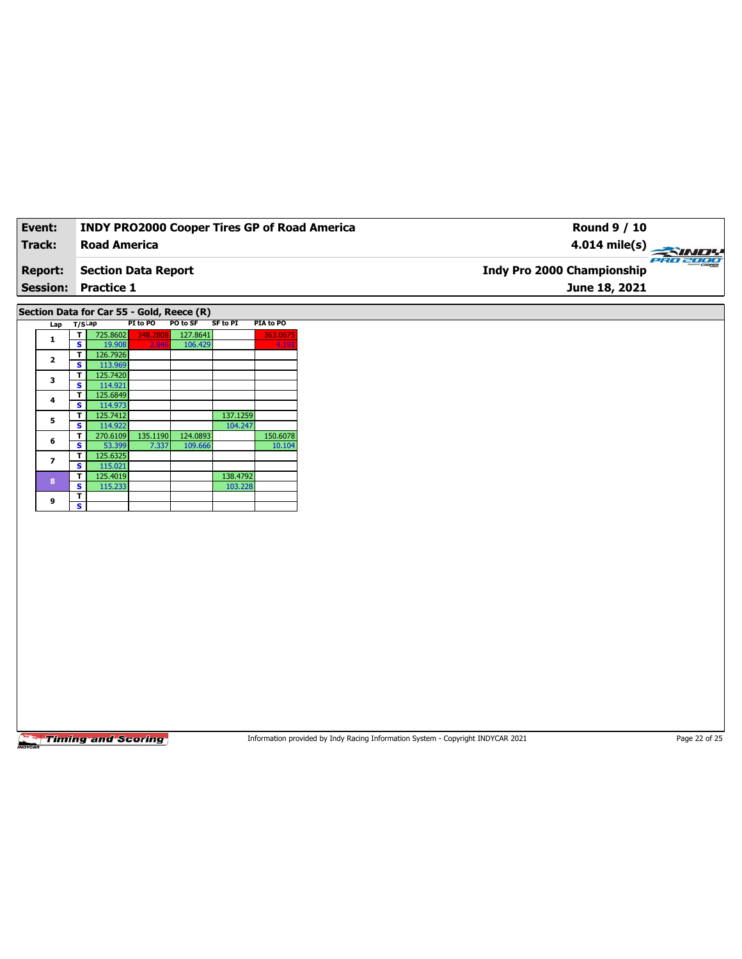|  | Event:                   |    |                            |          |                                           |                     |           | <b>INDY PRO2000 Cooper Tires GP of Road America</b><br><b>Round 9 / 10</b> |       |
|--|--------------------------|----|----------------------------|----------|-------------------------------------------|---------------------|-----------|----------------------------------------------------------------------------|-------|
|  | Track:                   |    | <b>Road America</b>        |          |                                           |                     |           | $4.014 \text{ mile(s)}$                                                    |       |
|  | <b>Report:</b>           |    | <b>Section Data Report</b> |          |                                           |                     |           | <b>Indy Pro 2000 Championship</b>                                          | PRO 2 |
|  | <b>Session:</b>          |    | <b>Practice 1</b>          |          |                                           |                     |           | June 18, 2021                                                              |       |
|  |                          |    |                            |          | Section Data for Car 55 - Gold, Reece (R) |                     |           |                                                                            |       |
|  | Lap $T/S$ Lap            |    |                            | PI to PO | PO to SF                                  | <b>SF to PI</b>     | PIA to PO |                                                                            |       |
|  |                          |    | 725.8602                   | 348.2808 | 127.8641                                  |                     | 363.0675  |                                                                            |       |
|  | 1                        | s. | 19.908                     | 2.846    | 106.429                                   |                     | 4.191     |                                                                            |       |
|  | $\overline{2}$           |    | 126.7926                   |          |                                           |                     |           |                                                                            |       |
|  |                          | s. | 113.969                    |          |                                           |                     |           |                                                                            |       |
|  | 3                        |    | 125.7420                   |          |                                           |                     |           |                                                                            |       |
|  |                          | s. | 114.921                    |          |                                           |                     |           |                                                                            |       |
|  | 4                        | т  | 125.6849                   |          |                                           |                     |           |                                                                            |       |
|  |                          | s  | 114.973                    |          |                                           |                     |           |                                                                            |       |
|  | 5                        | s  | 125.7412<br>114.922        |          |                                           | 137.1259<br>104.247 |           |                                                                            |       |
|  |                          |    | 270.6109                   | 135.1190 | 124.0893                                  |                     | 150.6078  |                                                                            |       |
|  | 6                        | s. | 53.399                     | 7.337    | 109.666                                   |                     | 10.104    |                                                                            |       |
|  |                          |    | 125.6325                   |          |                                           |                     |           |                                                                            |       |
|  | $\overline{\phantom{a}}$ | s. | 115.021                    |          |                                           |                     |           |                                                                            |       |
|  | 8                        |    | 125.4019                   |          |                                           | 138.4792            |           |                                                                            |       |
|  |                          | s. | 115.233                    |          |                                           | 103.228             |           |                                                                            |       |

**<sup>9</sup> <sup>T</sup> S**

Information provided by Indy Racing Information System - Copyright INDYCAR 2021 Page 22 of 25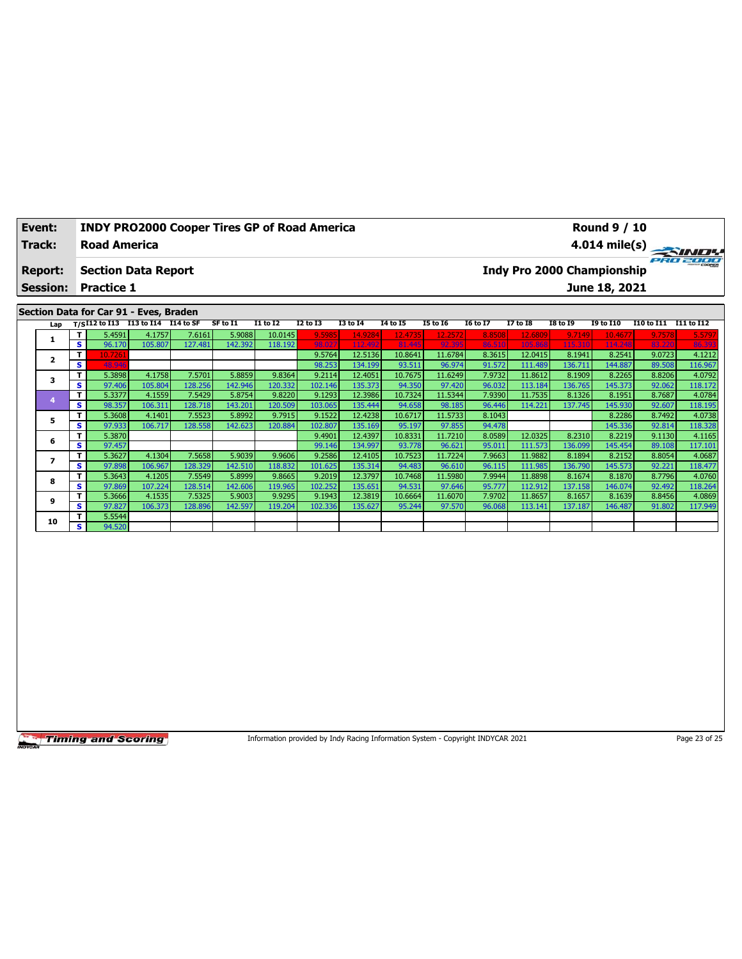| Event:          | <b>INDY PRO2000 Cooper Tires GP of Road America</b> | <b>Round 9 / 10</b>                    |
|-----------------|-----------------------------------------------------|----------------------------------------|
| Track:          | <b>Road America</b>                                 | 4.014 mile(s)                          |
| <b>Report:</b>  | <b>Section Data Report</b>                          | PRO 2000<br>Indy Pro 2000 Championship |
| <b>Session:</b> | <b>Practice 1</b>                                   | June 18, 2021                          |
|                 | Section Data for Car 91 - Eves, Braden              |                                        |

| Lap |              |         | $T/S$ I12 to I13 I13 to I14 I14 to SF |         | SF to I1 | <b>I1 to I2</b> | I2 to I3 | <b>I3 to I4</b> | 14 to 15 | <b>I5 to 16</b> | <b>I6 to I7</b> | I7 to I8 | I8 to 19 | <b>I9 to I10</b> | I10 to I11 | I11 to I12 |
|-----|--------------|---------|---------------------------------------|---------|----------|-----------------|----------|-----------------|----------|-----------------|-----------------|----------|----------|------------------|------------|------------|
|     | $\mathbf{T}$ | 5.4591  | 4.1757                                | 7.6161  | 5.9088   | 10.0145         | 9.5985   | 14.9284         | 12.4735  | 12.2572         | 8.8508          | 12.6809  | 9.7149   | 10.4677          | 9.7578     | 5.5797     |
|     | s.           | 96.170  | 105.807                               | 127.481 | 142.392  | 118.192         | 98.027   | 112.492         | 81.445   | 92.395          | 86.510          | 105.868  | 115,310  | 114.248          | 83,220     | 86.393     |
| 2   | т            | 10.7261 |                                       |         |          |                 | 9.5764   | 12.5136         | 10.8641  | 11.6784         | 8.3615          | 12.0415  | 8.1941   | 8.2541           | 9.0723     | 4.1212     |
|     | s            | 48.946  |                                       |         |          |                 | 98.253   | 134.199         | 93.511   | 96.974          | 91.572          | 111.489  | 136.711  | 144.887          | 89.508     | 116.967    |
| 3   | T.           | 5.3898  | 4.1758                                | 7.5701  | 5.8859   | 9.8364          | 9.2114   | 12.4051         | 10.7675  | 11.6249         | 7.9732          | 11.8612  | 8.1909   | 8.2265           | 8.8206     | 4.0792     |
|     | s.           | 97.406  | 105.804                               | 128.256 | 142.946  | 120.332         | 102.146  | 135.373         | 94.350   | 97.420          | 96.032          | 113.184  | 136.765  | 145.373          | 92.062     | 118.172    |
|     | T.           | 5.3377  | 4.1559                                | 7.5429  | 5.8754   | 9.8220          | 9.1293   | 12.3986         | 10.7324  | 11.5344         | 7.9390          | 11.7535  | 8.1326   | 8.1951           | 8.7687     | 4.0784     |
|     | s.           | 98.357  | 106.311                               | 128.718 | 143.201  | 120.509         | 103.065  | 135.444         | 94.658   | 98.185          | 96.446          | 114.221  | 137.745  | 145.930          | 92.607     | 118.195    |
| 5   | T.           | 5.3608  | 4.1401                                | 7.5523  | 5.8992   | 9.7915          | 9.1522   | 12.4238         | 10.6717  | 11.5733         | 8.1043          |          |          | 8.2286           | 8.7492     | 4.0738     |
|     | s.           | 97.933  | 106.717                               | 128.558 | 142.623  | 120.884         | 102.807  | 135.169         | 95.197   | 97.855          | 94.478          |          |          | 145.336          | 92.814     | 118.328    |
| 6   | T.           | 5.3870  |                                       |         |          |                 | 9.4901   | 12.4397         | 10.8331  | 11.7210         | 8.0589          | 12.0325  | 8.2310   | 8.2219           | 9.1130     | 4.1165     |
|     | s.           | 97.457  |                                       |         |          |                 | 99.146   | 134.997         | 93.778   | 96.621          | 95.011          | 111.573  | 136.099  | 145.454          | 89.108     | 117.101    |
|     | т            | 5.3627  | 4.1304                                | 7.5658  | 5.9039   | 9.9606          | 9.2586   | 12.4105         | 10.7523  | 11.7224         | 7.9663          | 11.9882  | 8.1894   | 8.2152           | 8.8054     | 4.0687     |
|     | s.           | 97.898  | 106.967                               | 128.329 | 142.510  | 118.832         | 101.625  | 135.314         | 94.483   | 96.610          | 96.115          | 111.985  | 136.790  | 145.573          | 92.221     | 118.477    |
| 8   | T.           | 5.3643  | 4.1205                                | 7.5549  | 5.8999   | 9.8665          | 9.2019   | 12.3797         | 10.7468  | 11.5980         | 7.9944          | 11.8898  | 8.1674   | 8.1870           | 8.7796     | 4.0760     |
|     | s.           | 97.869  | 107.224                               | 128.514 | 142.606  | 119.965         | 102.252  | 135.651         | 94.531   | 97.646          | 95.777          | 112.912  | 137.158  | 146.074          | 92.492     | 118.264    |
| 9   | Τ.           | 5.3666  | 4.1535                                | 7.5325  | 5.9003   | 9.9295          | 9.1943   | 12.3819         | 10.6664  | 11.6070         | 7.9702          | 11.8657  | 8.1657   | 8.1639           | 8.8456     | 4.0869     |
|     | S            | 97.827  | 106.373                               | 128.896 | 142.597  | 119.204         | 102.336  | 135.627         | 95.244   | 97.570          | 96.068          | 113.141  | 137.187  | 146.487          | 91.802     | 117.949    |
| 10  | T.           | 5.5544  |                                       |         |          |                 |          |                 |          |                 |                 |          |          |                  |            |            |
|     | S            | 94.520  |                                       |         |          |                 |          |                 |          |                 |                 |          |          |                  |            |            |

Information provided by Indy Racing Information System - Copyright INDYCAR 2021 Page 23 of 25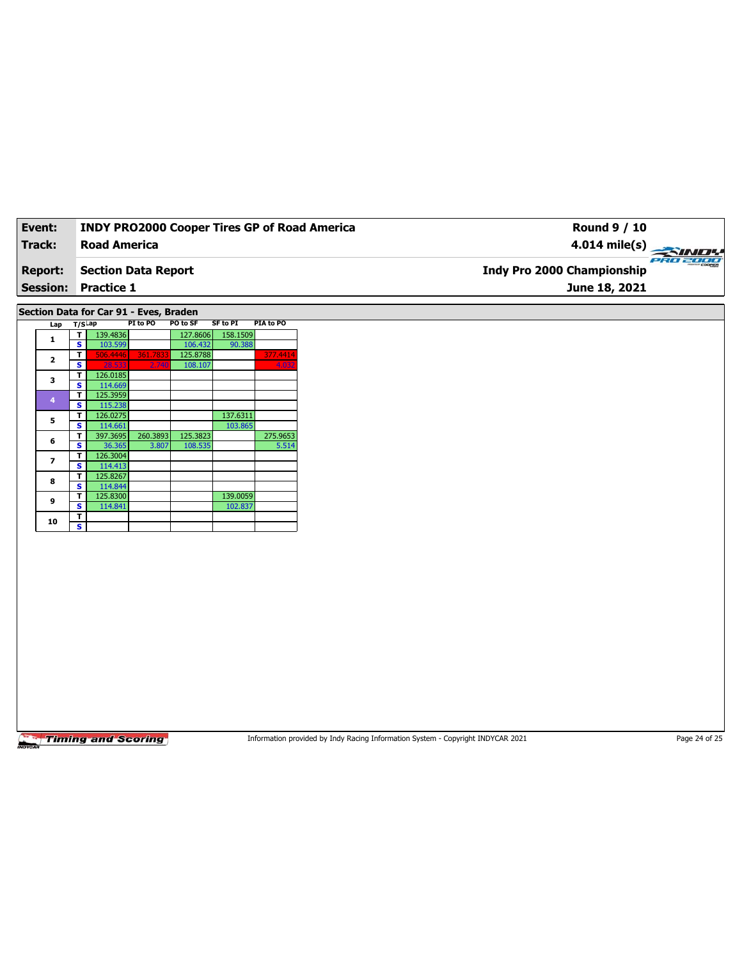| Event:          | <b>INDY PRO2000 Cooper Tires GP of Road America</b> | Round 9 / 10                      |          |
|-----------------|-----------------------------------------------------|-----------------------------------|----------|
| Track:          | <b>Road America</b>                                 | $4.014 \text{ mile(s)}$           |          |
| <b>Report:</b>  | Section Data Report                                 | <b>Indy Pro 2000 Championship</b> | PRO 2000 |
| <b>Session:</b> | <b>Practice 1</b>                                   | June 18, 2021                     |          |
|                 |                                                     |                                   |          |

**Section Data for Car 91 - Eves, Braden**

|  | Lap            | $T/S$ ap |          | PI to PO | PO to SF | SF to PI | PIA to PO |
|--|----------------|----------|----------|----------|----------|----------|-----------|
|  | 1              | т        | 139.4836 |          | 127.8606 | 158.1509 |           |
|  |                | S        | 103.599  |          | 106.432  | 90.388   |           |
|  | $\overline{2}$ | т        | 506.4446 | 361.7833 | 125.8788 |          | 377.4414  |
|  |                | S        | 28.533   | 2.740    | 108.107  |          | 4.032     |
|  | 3              | т        | 126.0185 |          |          |          |           |
|  |                | S        | 114.669  |          |          |          |           |
|  | 4              | т        | 125.3959 |          |          |          |           |
|  |                | Ś        | 115.238  |          |          |          |           |
|  | 5              | т        | 126.0275 |          |          | 137.6311 |           |
|  |                | S        | 114.661  |          |          | 103.865  |           |
|  | 6              | т        | 397.3695 | 260.3893 | 125.3823 |          | 275.9653  |
|  |                | s        | 36.365   | 3.807    | 108.535  |          | 5.514     |
|  | 7              | т        | 126.3004 |          |          |          |           |
|  |                | S        | 114.413  |          |          |          |           |
|  | 8              | т        | 125.8267 |          |          |          |           |
|  |                | s        | 114.844  |          |          |          |           |
|  | 9              | т        | 125.8300 |          |          | 139.0059 |           |
|  |                | S        | 114.841  |          |          | 102.837  |           |
|  | 10             | т        |          |          |          |          |           |
|  |                | Ś        |          |          |          |          |           |

Timing and Scoring

Information provided by Indy Racing Information System - Copyright INDYCAR 2021 Page 24 of 25